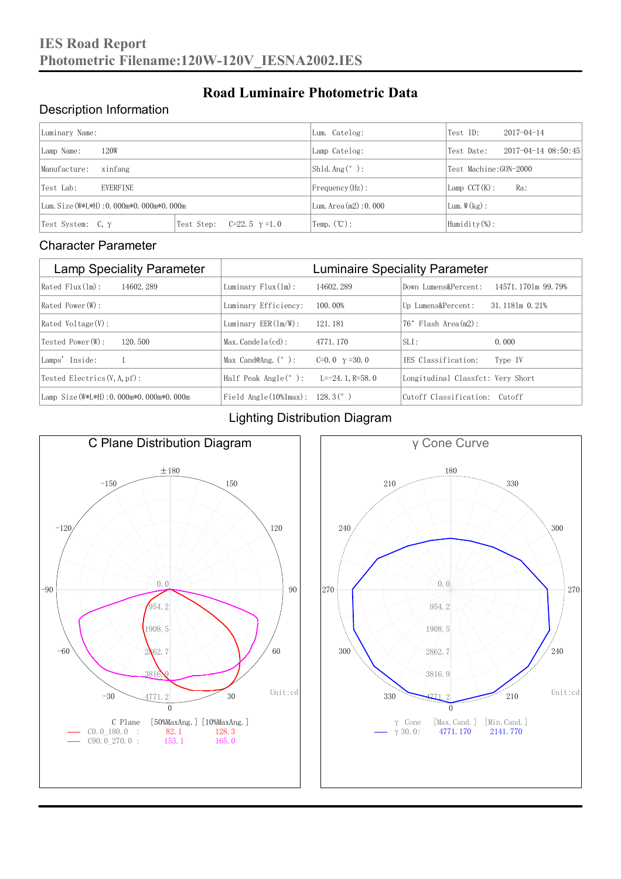#### Description Information

| Luminary Name:                          |                                     | Lum. Catelog:          | Test ID:                    | $2017 - 04 - 14$ |  |
|-----------------------------------------|-------------------------------------|------------------------|-----------------------------|------------------|--|
| 120W<br>Lamp Name:                      | Lamp Catelog:                       | Test Date:             | $2017 - 04 - 14$ $08:50:45$ |                  |  |
| Manufacture:<br>xinfang                 |                                     | Shld. Ang $(^\circ)$ : | Test Machine: GON-2000      |                  |  |
| <b>EVERFINE</b><br>Test Lab:            |                                     | $Frequency(Hz)$ :      | $Lamp$ CCT(K):              | Ra:              |  |
| Lum. Size (W*L*H): 0.000m*0.000m*0.000m |                                     | Lum. $Area(m2):0.000$  | Lum. $W(kg)$ :              |                  |  |
| Test System: $C, \gamma$                | Test Step:<br>$C=22.5$ $\gamma=1.0$ | Temp. $(\mathbb{C})$ : | Humidity $(\%)$ :           |                  |  |

**Road Luminaire Photometric Data**

#### Character Parameter

| <b>Lamp Speciality Parameter</b>       | <b>Luminaire Speciality Parameter</b>                              |                      |                                   |                    |  |
|----------------------------------------|--------------------------------------------------------------------|----------------------|-----------------------------------|--------------------|--|
| Rated Flux(1m):<br>14602.289           | Luminary $Flux(lm)$ :                                              | 14602.289            | Down Lumens&Percent:              | 14571.1701m 99.79% |  |
| Rated Power (W):                       | Luminary Efficiency:                                               | 100.00%              | Up Lumens&Percent:                | 31.1181m 0.21%     |  |
| $Rated$ Voltage $(V)$ :                | Luminary $EER(\ln/W)$ :                                            | 121.181              | $76°$ Flash Area $(m2)$ :         |                    |  |
| Tested Power(W):<br>120.500            | $Max. Candela(cd)$ :                                               | 4771.170             | $SLI$ :                           | 0.000              |  |
| Lamps' Inside:                         | Max Cand@Ang. $(°)$ :                                              | C=0.0 $\gamma$ =30.0 | TES Classification:               | Type IV            |  |
| Tested Electrics $(V, A, pf)$ :        | Half Peak Angle $(°)$ :                                            | L=-24. 1. R=58. 0    | Longitudinal Classfct: Very Short |                    |  |
| Lamp Size(W*L*H): 0.000m*0.000m*0.000m | Field Angle $(10\text{\%} \text{Im} \text{ax})$ : 128.3 $(^\circ)$ |                      | Cutoff Classification: Cutoff     |                    |  |

#### Lighting Distribution Diagram



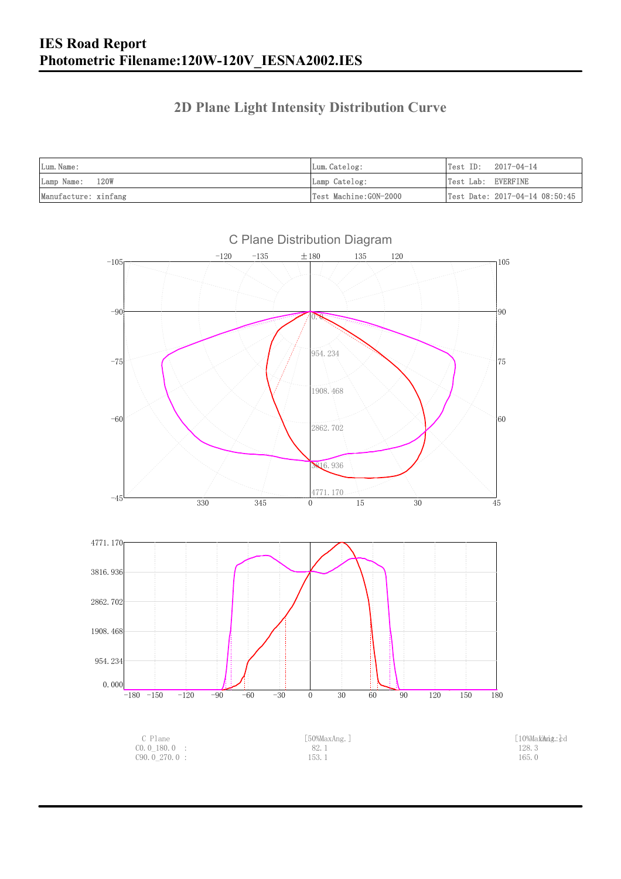### **2D Plane Light Intensity Distribution Curve**

| Lum. Name:           | Lum.Catelog:          | $Test ID: 2017-04-14$          |
|----------------------|-----------------------|--------------------------------|
| Lamp Name: 120W      | Lamp Catelog:         | Test Lab: EVERFINE             |
| Manufacture: xinfang | Test Machine:GON-2000 | Test Date: 2017-04-14 08:50:45 |

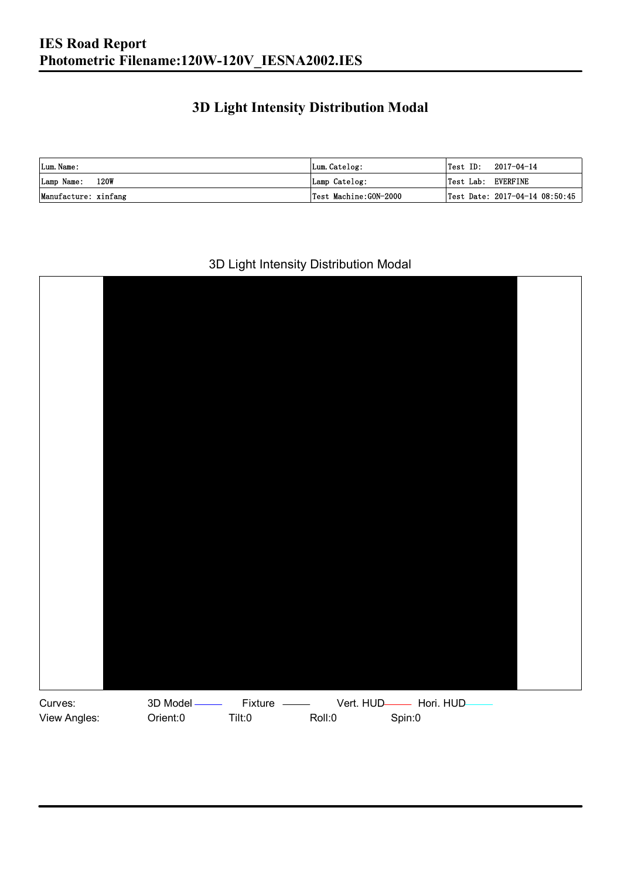### **3D Light Intensity Distribution Modal**

| Lum. Name:           | Lum.Catelog:          | $\textsf{Test ID:} \quad 2017-04-14$ |
|----------------------|-----------------------|--------------------------------------|
| 120W<br>Lamp Name:   | Lamp Catelog:         | Test Lab: EVERFINE                   |
| Manufacture: xinfang | Test Machine:GON-2000 | Test Date: 2017-04-14 08:50:45       |

#### 3D Light Intensity Distribution Modal

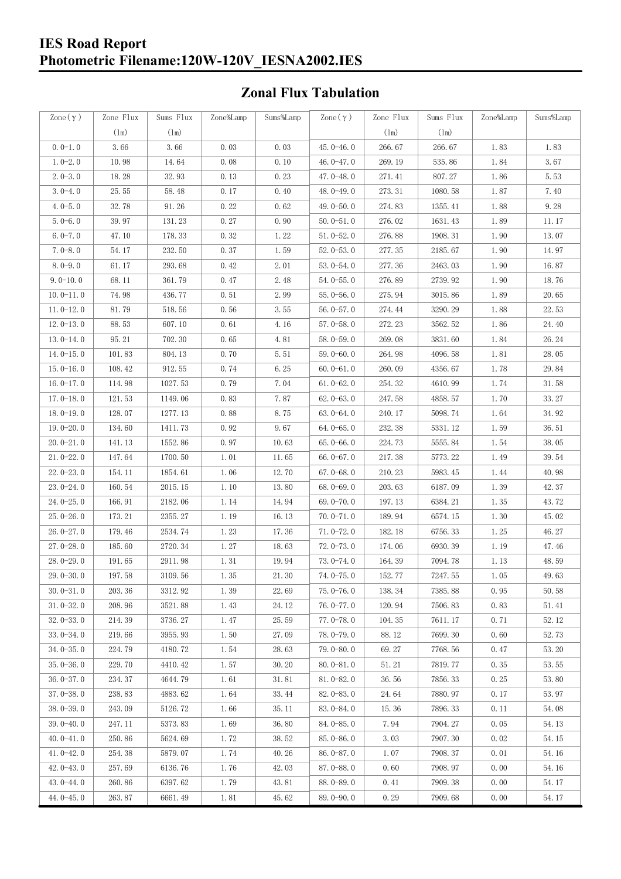#### **IES Road Report Photometric Filename:120W-120V\_IESNA2002.IES**

### **Zonal Flux Tabulation**

| Zone $(\gamma)$ | Zone Flux     | Sums Flux | Zone%Lamp | Sums%Lamp | Zone $(\gamma)$ | Zone Flux     | Sums Flux | Zone%Lamp            | Sums%Lamp |
|-----------------|---------------|-----------|-----------|-----------|-----------------|---------------|-----------|----------------------|-----------|
|                 | $(\text{lm})$ | (1m)      |           |           |                 | $(\text{lm})$ | (1m)      |                      |           |
| $0.0-1.0$       | 3.66          | 3.66      | 0.03      | 0.03      | $45.0 - 46.0$   | 266.67        | 266.67    | 1.83                 | 1.83      |
| $1.0 - 2.0$     | 10.98         | 14.64     | 0.08      | 0.10      | 46.0 $-47.0$    | 269.19        | 535.86    | 1.84                 | 3.67      |
| $2.0 - 3.0$     | 18.28         | 32.93     | 0.13      | 0.23      | $47.0 - 48.0$   | 271.41        | 807.27    | 1.86                 | 5.53      |
| $3.0 - 4.0$     | 25.55         | 58.48     | 0.17      | 0.40      | 48.0-49.0       | 273.31        | 1080.58   | 1.87                 | 7.40      |
| $4.0 - 5.0$     | 32.78         | 91.26     | 0.22      | 0.62      | 49.0 $-50.0$    | 274.83        | 1355.41   | 1.88                 | 9.28      |
| $5.0 - 6.0$     | 39.97         | 131.23    | 0.27      | 0.90      | $50.0 - 51.0$   | 276.02        | 1631.43   | 1.89                 | 11.17     |
| $6.0 - 7.0$     | 47.10         | 178.33    | 0.32      | 1.22      | $51.0 - 52.0$   | 276.88        | 1908.31   | 1.90                 | 13.07     |
| $7.0 - 8.0$     | 54.17         | 232.50    | 0.37      | 1.59      | $52.0 - 53.0$   | 277.35        | 2185.67   | 1.90                 | 14.97     |
| $8.0 - 9.0$     | 61.17         | 293.68    | 0.42      | 2.01      | $53.0 - 54.0$   | 277.36        | 2463.03   | 1.90                 | 16.87     |
| $9.0 - 10.0$    | 68.11         | 361.79    | 0.47      | 2.48      | $54.0 - 55.0$   | 276.89        | 2739.92   | 1.90                 | 18.76     |
| $10.0 - 11.0$   | 74.98         | 436.77    | 0.51      | 2.99      | $55.0 - 56.0$   | 275.94        | 3015.86   | 1.89                 | 20.65     |
| $11.0 - 12.0$   | 81.79         | 518.56    | 0.56      | 3.55      | $56.0 - 57.0$   | 274.44        | 3290.29   | 1.88                 | 22.53     |
| $12.0 - 13.0$   | 88.53         | 607.10    | 0.61      | 4.16      | $57.0 - 58.0$   | 272.23        | 3562.52   | 1.86                 | 24.40     |
| $13.0 - 14.0$   | 95.21         | 702.30    | 0.65      | 4.81      | $58.0 - 59.0$   | 269.08        | 3831.60   | 1.84                 | 26.24     |
| $14.0 - 15.0$   | 101.83        | 804.13    | 0.70      | 5.51      | $59.0 - 60.0$   | 264.98        | 4096.58   | 1.81                 | 28.05     |
| $15.0 - 16.0$   | 108.42        | 912.55    | 0.74      | 6.25      | $60.0 - 61.0$   | 260.09        | 4356.67   | 1.78                 | 29.84     |
| $16.0 - 17.0$   | 114.98        | 1027.53   | 0.79      | 7.04      | $61.0 - 62.0$   | 254.32        | 4610.99   | 1.74                 | 31.58     |
| $17.0 - 18.0$   | 121.53        | 1149.06   | 0.83      | 7.87      | $62.0 - 63.0$   | 247.58        | 4858.57   | 1.70                 | 33.27     |
| $18.0 - 19.0$   | 128.07        | 1277.13   | 0.88      | 8.75      | $63.0 - 64.0$   | 240.17        | 5098.74   | 1.64                 | 34.92     |
| $19.0 - 20.0$   | 134.60        | 1411.73   | 0.92      | 9.67      | $64.0 - 65.0$   | 232.38        | 5331.12   | 1.59                 | 36.51     |
| $20.0 - 21.0$   | 141.13        | 1552.86   | 0.97      | 10.63     | $65.0 - 66.0$   | 224.73        | 5555.84   | 1.54                 | 38.05     |
| $21.0 - 22.0$   | 147.64        | 1700.50   | 1.01      | 11.65     | $66.0 - 67.0$   | 217.38        | 5773.22   | 1.49                 | 39.54     |
| $22.0 - 23.0$   | 154.11        | 1854.61   | 1.06      | 12.70     | $67.0 - 68.0$   | 210.23        | 5983.45   | 1.44                 | 40.98     |
| $23.0 - 24.0$   | 160.54        | 2015.15   | 1.10      | 13.80     | $68.0 - 69.0$   | 203.63        | 6187.09   | 1.39                 | 42.37     |
| $24.0 - 25.0$   | 166.91        | 2182.06   | 1.14      | 14.94     | 69.0 $-70.0$    | 197.13        | 6384.21   | 1.35                 | 43.72     |
| $25.0 - 26.0$   | 173.21        | 2355.27   | 1.19      | 16.13     | $70.0 - 71.0$   | 189.94        | 6574.15   | 1.30                 | 45.02     |
| $26.0 - 27.0$   | 179.46        | 2534.74   | 1.23      | 17.36     | $71.0 - 72.0$   | 182.18        | 6756.33   | 1.25                 | 46.27     |
| $27.0 - 28.0$   | 185.60        | 2720.34   | 1.27      | 18.63     | 72.0-73.0       | 174.06        | 6930.39   | 1.19                 | 47.46     |
| $28.0 - 29.0$   | 191.65        | 2911.98   | 1.31      | 19.94     | $73.0 - 74.0$   | 164.39        | 7094.78   | 1.13                 | 48.59     |
| 29.0-30.0       | 197.58        | 3109.56   | 1.35      | 21.30     | 74.0-75.0       | 152.77        | 7247.55   | $1.\,\allowbreak 05$ | 49.63     |
| $30.0 - 31.0$   | 203.36        | 3312.92   | 1.39      | 22.69     | $75.0 - 76.0$   | 138.34        | 7385.88   | 0.95                 | 50.58     |
| $31.0 - 32.0$   | 208.96        | 3521.88   | 1.43      | 24.12     | 76.0-77.0       | 120.94        | 7506.83   | 0.83                 | 51.41     |
| $32.0 - 33.0$   | 214.39        | 3736.27   | 1.47      | 25.59     | $77.0 - 78.0$   | 104.35        | 7611.17   | 0.71                 | 52.12     |
| $33.0 - 34.0$   | 219.66        | 3955.93   | 1.50      | 27.09     | $78.0 - 79.0$   | 88.12         | 7699.30   | 0.60                 | 52.73     |
| $34.0 - 35.0$   | 224.79        | 4180.72   | 1.54      | 28.63     | $79.0 - 80.0$   | 69.27         | 7768.56   | 0.47                 | 53.20     |
| $35.0 - 36.0$   | 229.70        | 4410.42   | 1.57      | 30.20     | $80.0 - 81.0$   | 51.21         | 7819.77   | 0.35                 | 53.55     |
| $36.0 - 37.0$   | 234.37        | 4644.79   | 1.61      | 31.81     | $81.0 - 82.0$   | 36.56         | 7856.33   | 0.25                 | 53.80     |
| $37.0 - 38.0$   | 238.83        | 4883.62   | 1.64      | 33.44     | $82.0 - 83.0$   | 24.64         | 7880.97   | 0.17                 | 53.97     |
| $38.0 - 39.0$   | 243.09        | 5126.72   | 1.66      | 35.11     | 83.0-84.0       | 15.36         | 7896.33   | 0.11                 | 54.08     |
| $39.0 - 40.0$   | 247.11        | 5373.83   | 1.69      | 36.80     | 84.0-85.0       | 7.94          | 7904.27   | 0.05                 | 54.13     |
| $40.0 - 41.0$   | 250.86        | 5624.69   | 1.72      | 38.52     | 85.0-86.0       | 3.03          | 7907.30   | 0.02                 | 54.15     |
| $41.0 - 42.0$   | 254.38        | 5879.07   | 1.74      | 40.26     | $86.0 - 87.0$   | 1.07          | 7908.37   | 0.01                 | 54.16     |
| $42.0 - 43.0$   | 257.69        | 6136.76   | 1.76      | 42.03     | $87.0 - 88.0$   | 0.60          | 7908.97   | 0.00                 | 54.16     |
| $43.0 - 44.0$   | 260.86        | 6397.62   | 1.79      | 43.81     | 88.0-89.0       | 0.41          | 7909.38   | 0.00                 | 54.17     |
| $44.0 - 45.0$   | 263.87        | 6661.49   | 1.81      | 45.62     | $89.0 - 90.0$   | 0.29          | 7909.68   | 0.00                 | 54.17     |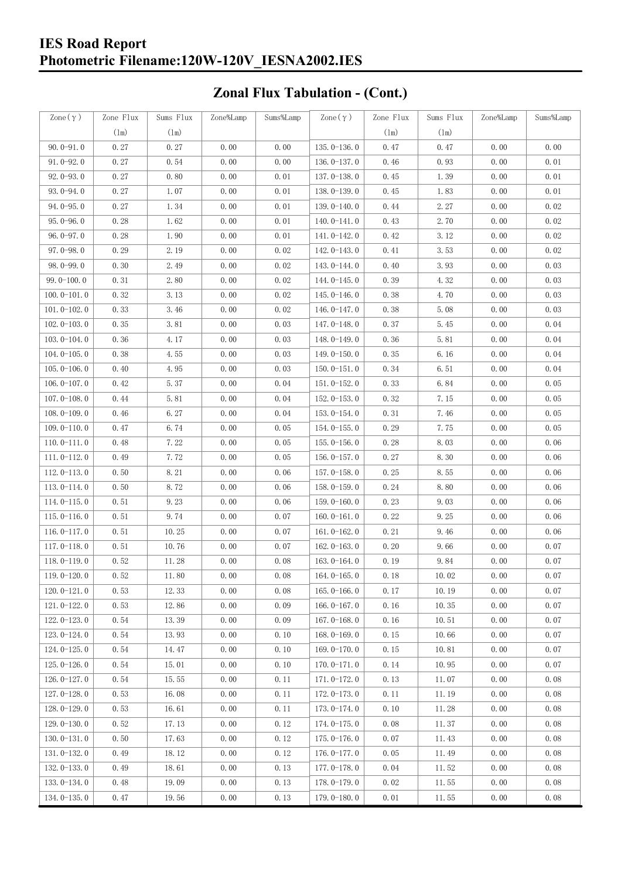### **IES Road Report Photometric Filename:120W-120V\_IESNA2002.IES**

# **Zonal Flux Tabulation - (Cont.)**

| Zone $(\gamma)$ | Zone Flux | Sums Flux     | Zone%Lamp | Sums%Lamp | Zone $(\gamma)$ | Zone Flux | Sums Flux | Zone%Lamp | Sums%Lamp |
|-----------------|-----------|---------------|-----------|-----------|-----------------|-----------|-----------|-----------|-----------|
|                 | (1m)      | $(\text{lm})$ |           |           |                 | (1m)      | (1m)      |           |           |
| $90.0 - 91.0$   | 0.27      | 0.27          | 0.00      | 0.00      | $135.0 - 136.0$ | 0.47      | 0.47      | 0.00      | 0.00      |
| $91.0 - 92.0$   | 0.27      | 0.54          | 0.00      | 0.00      | $136.0 - 137.0$ | 0.46      | 0.93      | 0.00      | 0.01      |
| $92.0 - 93.0$   | 0.27      | 0.80          | 0.00      | 0.01      | 137.0-138.0     | 0.45      | 1.39      | 0.00      | 0.01      |
| $93.0 - 94.0$   | 0.27      | 1.07          | 0.00      | 0.01      | 138.0-139.0     | 0.45      | 1.83      | 0.00      | 0.01      |
| $94.0 - 95.0$   | 0.27      | 1.34          | 0.00      | 0.01      | 139.0-140.0     | 0.44      | 2.27      | 0.00      | 0.02      |
| $95.0 - 96.0$   | 0.28      | 1.62          | 0.00      | 0.01      | $140.0 - 141.0$ | 0.43      | 2.70      | 0.00      | 0.02      |
| $96.0 - 97.0$   | 0.28      | 1.90          | 0.00      | 0.01      | 141.0-142.0     | 0.42      | 3.12      | 0.00      | 0.02      |
| $97.0 - 98.0$   | 0.29      | 2.19          | 0.00      | 0.02      | 142.0-143.0     | 0.41      | 3.53      | 0.00      | 0.02      |
| $98.0 - 99.0$   | 0.30      | 2.49          | 0.00      | 0.02      | 143.0-144.0     | 0.40      | 3.93      | 0.00      | 0.03      |
| $99.0 - 100.0$  | 0.31      | 2.80          | 0.00      | 0.02      | 144.0-145.0     | 0.39      | 4.32      | 0.00      | 0.03      |
| $100.0 - 101.0$ | 0.32      | 3.13          | 0.00      | 0.02      | $145.0 - 146.0$ | 0.38      | 4.70      | 0.00      | 0.03      |
| $101.0 - 102.0$ | 0.33      | 3.46          | 0.00      | 0.02      | $146.0 - 147.0$ | 0.38      | 5.08      | 0.00      | 0.03      |
| $102.0 - 103.0$ | 0.35      | 3.81          | 0.00      | 0.03      | 147.0-148.0     | 0.37      | 5.45      | 0.00      | 0.04      |
| $103.0 - 104.0$ | 0.36      | 4.17          | 0.00      | 0.03      | 148.0-149.0     | 0.36      | 5.81      | 0.00      | 0.04      |
| $104.0 - 105.0$ | 0.38      | 4.55          | 0.00      | 0.03      | $149.0 - 150.0$ | 0.35      | 6.16      | 0.00      | 0.04      |
| $105.0 - 106.0$ | 0.40      | 4.95          | 0.00      | 0.03      | $150.0 - 151.0$ | 0.34      | 6.51      | 0.00      | 0.04      |
| $106.0 - 107.0$ | 0.42      | 5.37          | 0.00      | 0.04      | $151.0 - 152.0$ | 0.33      | 6.84      | 0.00      | 0.05      |
| $107.0 - 108.0$ | 0.44      | 5.81          | 0.00      | 0.04      | $152.0 - 153.0$ | 0.32      | 7.15      | 0.00      | 0.05      |
| $108.0 - 109.0$ | 0.46      | 6.27          | 0.00      | 0.04      | $153.0 - 154.0$ | 0.31      | 7.46      | 0.00      | 0.05      |
| $109.0 - 110.0$ | 0.47      | 6.74          | 0.00      | 0.05      | 154.0-155.0     | 0.29      | 7.75      | 0.00      | 0.05      |
| $110.0 - 111.0$ | 0.48      | 7.22          | 0.00      | 0.05      | $155.0 - 156.0$ | 0.28      | 8.03      | 0.00      | 0.06      |
| $111.0 - 112.0$ | 0.49      | 7.72          | 0.00      | 0.05      | $156.0 - 157.0$ | 0.27      | 8.30      | 0.00      | 0.06      |
| $112.0 - 113.0$ | 0.50      | 8.21          | 0.00      | 0.06      | $157.0 - 158.0$ | 0.25      | 8.55      | 0.00      | 0.06      |
| $113.0 - 114.0$ | 0.50      | 8.72          | 0.00      | 0.06      | $158.0 - 159.0$ | 0.24      | 8.80      | 0.00      | 0.06      |
| $114.0 - 115.0$ | 0.51      | 9.23          | 0.00      | 0.06      | $159.0 - 160.0$ | 0.23      | 9.03      | 0.00      | 0.06      |
| $115.0 - 116.0$ | 0.51      | 9.74          | 0.00      | 0.07      | $160.0 - 161.0$ | 0.22      | 9.25      | 0.00      | 0.06      |
| $116.0 - 117.0$ | 0.51      | 10.25         | 0.00      | 0.07      | $161.0 - 162.0$ | 0.21      | 9.46      | 0.00      | 0.06      |
| $117.0 - 118.0$ | 0.51      | 10.76         | 0.00      | 0.07      | $162.0 - 163.0$ | 0.20      | 9.66      | 0.00      | 0.07      |
| $118.0 - 119.0$ | 0.52      | 11.28         | 0.00      | 0.08      | $163.0 - 164.0$ | 0.19      | 9.84      | 0.00      | 0.07      |
| $119.0 - 120.0$ | 0.52      | 11.80         | 0.00      | 0.08      | $164.0 - 165.0$ | 0.18      | 10.02     | 0.00      | 0.07      |
| $120.0 - 121.0$ | 0.53      | 12.33         | 0.00      | 0.08      | $165.0 - 166.0$ | 0.17      | 10.19     | 0.00      | 0.07      |
| $121.0 - 122.0$ | 0.53      | 12.86         | 0.00      | 0.09      | 166.0 $-167.0$  | 0.16      | 10.35     | 0.00      | 0.07      |
| $122.0 - 123.0$ | 0.54      | 13.39         | 0.00      | 0.09      | $167.0 - 168.0$ | 0.16      | 10.51     | 0.00      | 0.07      |
| $123.0 - 124.0$ | 0.54      | 13.93         | 0.00      | 0.10      | $168.0 - 169.0$ | 0.15      | 10.66     | 0.00      | 0.07      |
| $124.0 - 125.0$ | 0.54      | 14.47         | 0.00      | 0.10      | 169.0-170.0     | 0.15      | 10.81     | 0.00      | 0.07      |
| $125.0 - 126.0$ | 0.54      | 15.01         | 0.00      | 0.10      | $170.0 - 171.0$ | 0.14      | 10.95     | 0.00      | 0.07      |
| $126.0 - 127.0$ | 0.54      | 15.55         | 0.00      | 0.11      | 171.0-172.0     | 0.13      | 11.07     | 0.00      | 0.08      |
| $127.0 - 128.0$ | 0.53      | 16.08         | 0.00      | 0.11      | 172.0-173.0     | 0.11      | 11.19     | 0.00      | 0.08      |
| 128.0-129.0     | 0.53      | 16.61         | 0.00      | 0.11      | 173.0-174.0     | 0.10      | 11.28     | 0.00      | 0.08      |
| $129.0 - 130.0$ | 0.52      | 17.13         | 0.00      | 0.12      | 174.0-175.0     | 0.08      | 11.37     | 0.00      | 0.08      |
| $130.0 - 131.0$ | 0.50      | 17.63         | 0.00      | 0.12      | $175.0 - 176.0$ | 0.07      | 11.43     | 0.00      | 0.08      |
| $131.0 - 132.0$ | 0.49      | 18.12         | 0.00      | 0.12      | $176.0 - 177.0$ | 0.05      | 11.49     | 0.00      | 0.08      |
| $132.0 - 133.0$ | 0.49      | 18.61         | 0.00      | 0.13      | 177.0-178.0     | 0.04      | 11.52     | 0.00      | 0.08      |
| $133.0 - 134.0$ | 0.48      | 19.09         | 0.00      | 0.13      | 178.0-179.0     | 0.02      | 11.55     | 0.00      | 0.08      |
| $134.0 - 135.0$ | 0.47      | 19.56         | 0.00      | 0.13      | $179.0 - 180.0$ | 0.01      | 11.55     | 0.00      | 0.08      |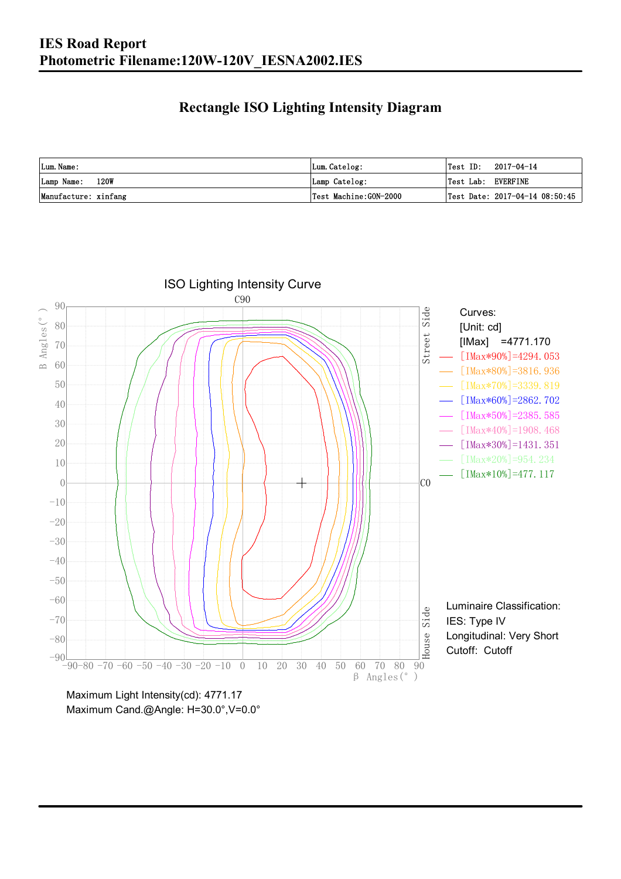### **Rectangle ISO Lighting Intensity Diagram**

| Lum. Name:           | Lum.Catelog:          | $\textsf{Test ID:} \quad 2017-04-14$      |
|----------------------|-----------------------|-------------------------------------------|
| Lamp Name: 120W      | Lamp Catelog:         | Test Lab: EVERFINE                        |
| Manufacture: xinfang | Test Machine:GON-2000 | $\sqrt{2}$ Test Date: 2017-04-14 08:50:45 |



Maximum Cand.@Angle: H=30.0°,V=0.0°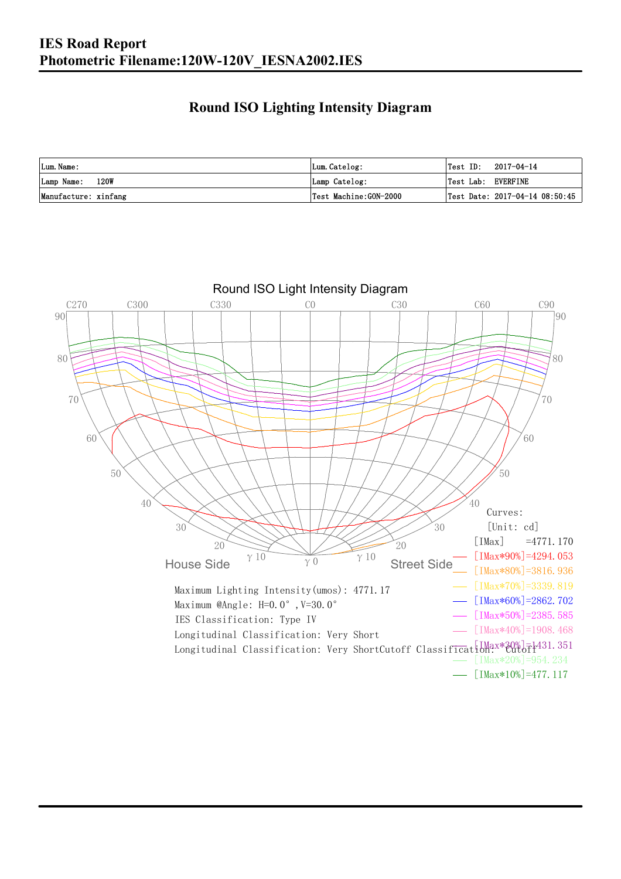### **Round ISO Lighting Intensity Diagram**

| Lum. Name:           | Lum.Catelog:          | Test ID:<br>2017-04-14             |
|----------------------|-----------------------|------------------------------------|
| 120W<br>Lamp Name:   | Lamp Catelog:         | Test Lab: EVERFINE                 |
| Manufacture: xinfang | Test Machine:GON-2000 | Test Date: $2017-04-14$ $08:50:45$ |

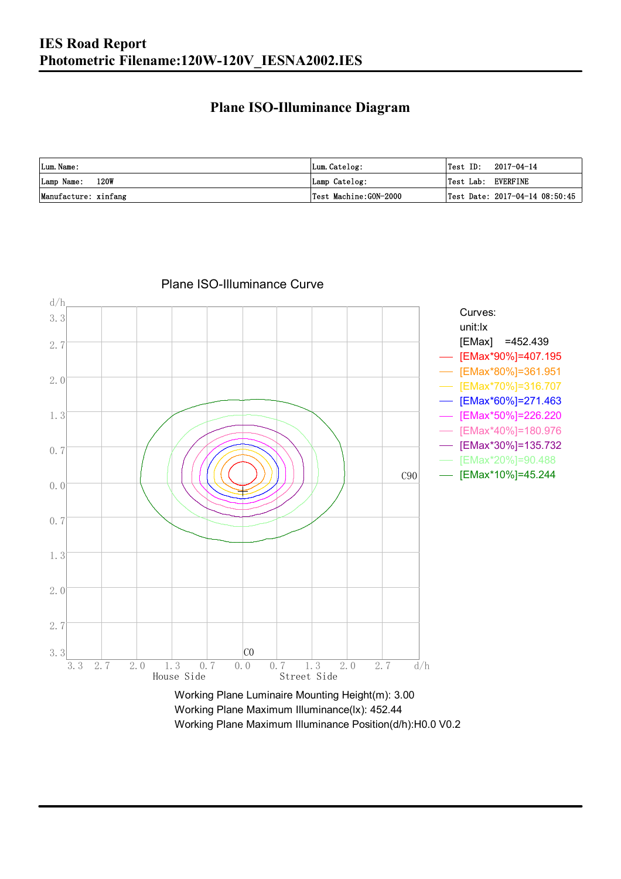#### **Plane ISO-Illuminance Diagram**

| Lum. Name:           | Lum.Catelog:          | $\textsf{Test ID:} \quad 2017-04-14$           |
|----------------------|-----------------------|------------------------------------------------|
| Lamp Name: 120W      | Lamp Catelog:         | Test Lab: EVERFINE                             |
| Manufacture: xinfang | Test Machine:GON-2000 | $\vert$ Test Date: 2017-04-14 08:50:45 $\vert$ |



Plane ISO-Illuminance Curve

Working Plane Maximum Illuminance(lx): 452.44 Working Plane Maximum Illuminance Position(d/h):H0.0 V0.2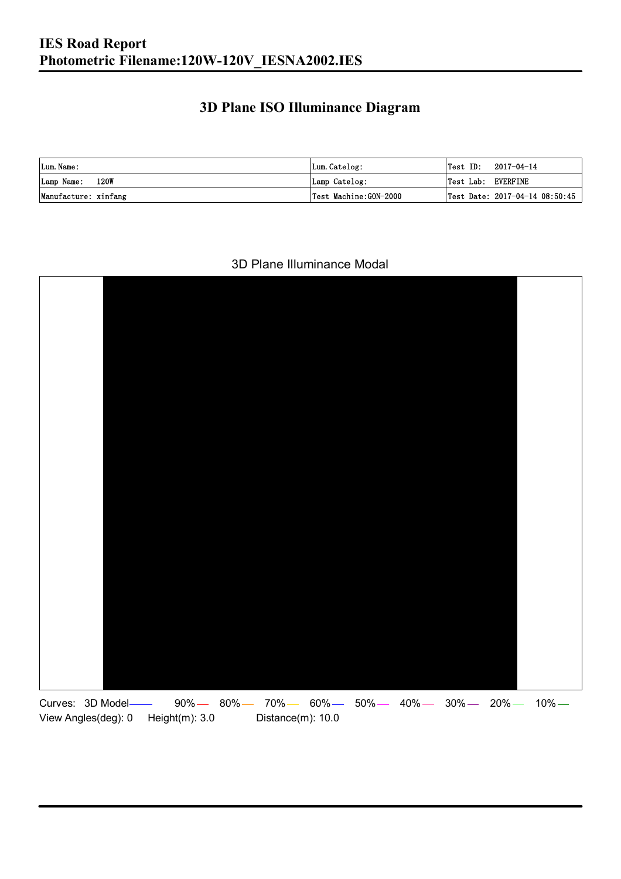### **3D Plane ISO Illuminance Diagram**

| Lum. Name:           | Lum.Catelog:          | $\textsf{Test ID:} \quad 2017-04-14$ |                                |
|----------------------|-----------------------|--------------------------------------|--------------------------------|
| Lamp Name: 120W      | Lamp Catelog:         | Test Lab: EVERFINE                   |                                |
| Manufacture: xinfang | Test Machine:GON-2000 |                                      | Test Date: 2017-04-14 08:50:45 |

#### 3D Plane Illuminance Modal

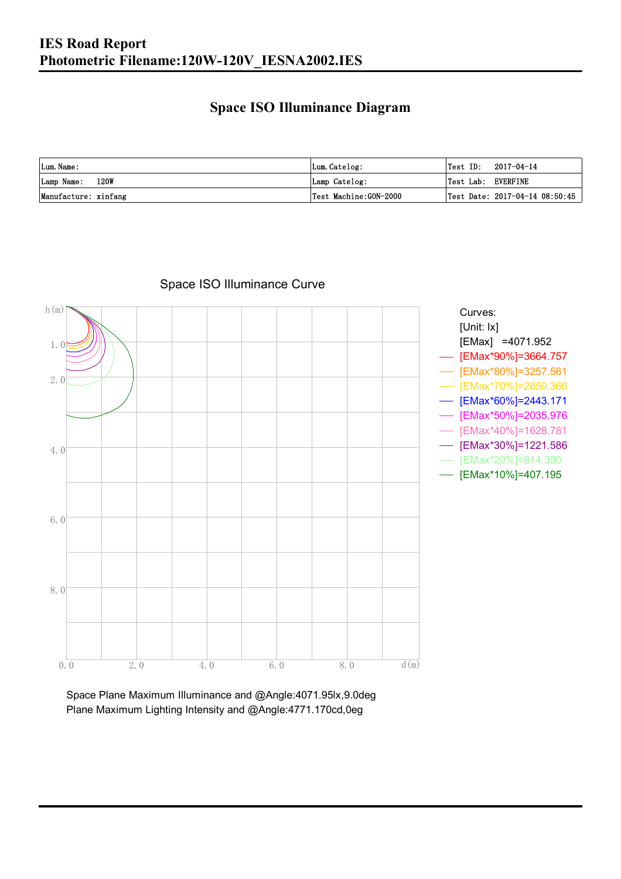### **Space ISO Illuminance Diagram**

| Lum. Name:           | Lum.Catelog:          | Test ID:<br>2017-04-14                    |
|----------------------|-----------------------|-------------------------------------------|
| 120W<br>Lamp Name:   | Lamp Catelog:         | Test Lab: EVERFINE                        |
| Manufacture: xinfang | Test Machine:GON-2000 | $\sqrt{2}$ Test Date: 2017-04-14 08:50:45 |



### Space ISO Illuminance Curve

Space Plane Maximum Illuminance and @Angle:4071.95lx,9.0deg Plane Maximum Lighting Intensity and @Angle:4771.170cd,0eg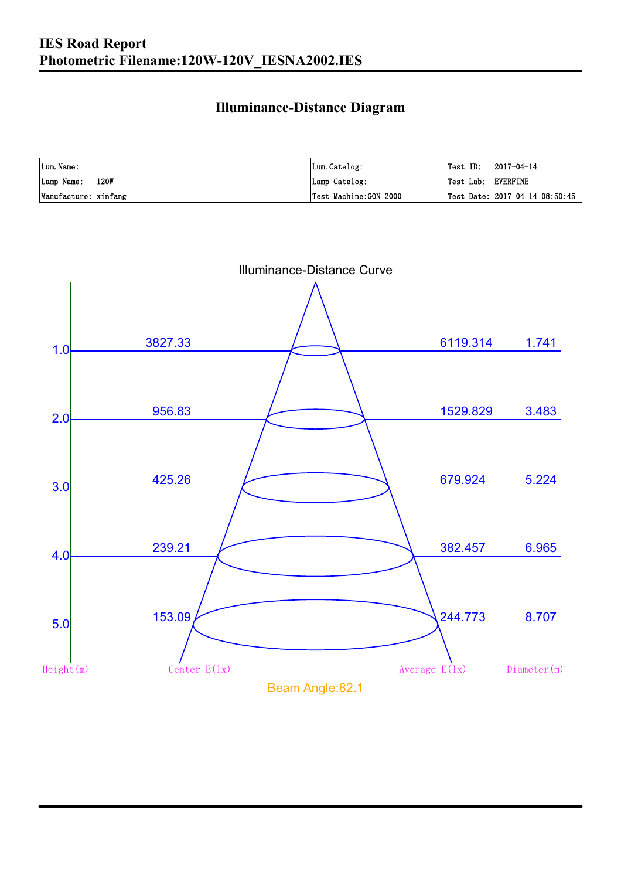### **Illuminance-Distance Diagram**

| Lum. Name:           | Lum.Catelog:          |                    | $\textsf{Test ID:} \quad 2017-04-14$ |
|----------------------|-----------------------|--------------------|--------------------------------------|
| 120W<br>Lamp Name:   | Lamp Catelog:         | Test Lab: EVERFINE |                                      |
| Manufacture: xinfang | Test Machine:GON-2000 |                    | Test Date: 2017-04-14 08:50:45       |

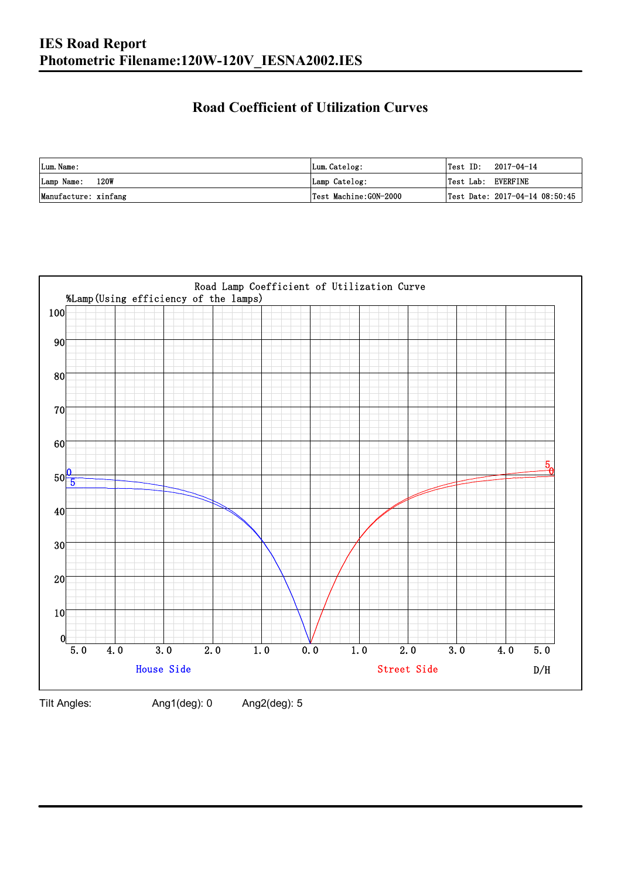### **Road Coefficient of Utilization Curves**

| Lum. Name:           | Lum.Catelog:          | Test ID:           | 2017-04-14                     |
|----------------------|-----------------------|--------------------|--------------------------------|
| Lamp Name: 120W      | Lamp Catelog:         | Test Lab: EVERFINE |                                |
| Manufacture: xinfang | Test Machine:GON-2000 |                    | Test Date: 2017-04-14 08:50:45 |



Tilt Angles: Ang1(deg): 0 Ang2(deg): 5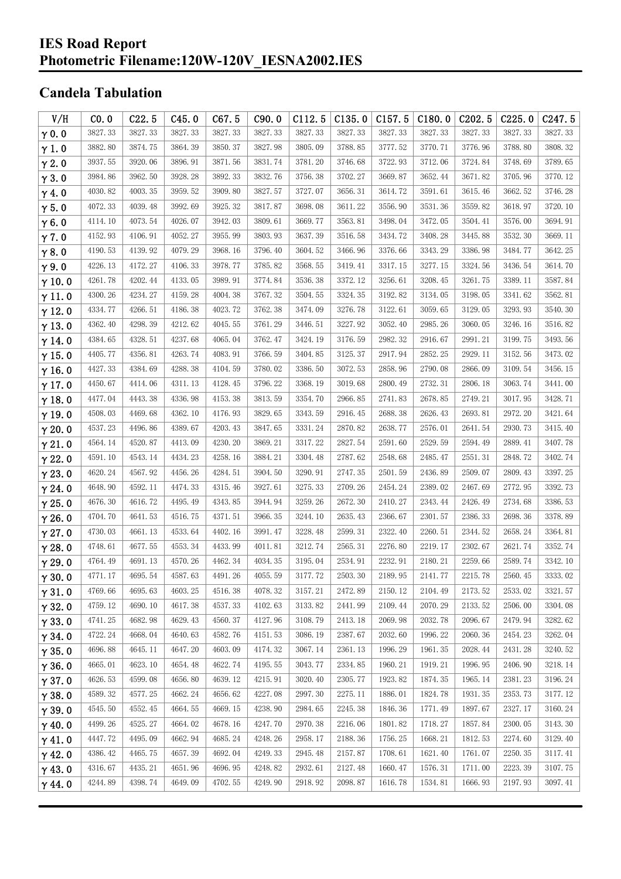#### **IES Road Report Photometric Filename:120W-120V\_IESNA2002.IES**

## **Candela Tabulation**

| V/H           | CO.0    | C22.5   | C45.0   | C67.5   | C90.0   | C112.5  | C135.0  | C157.5  | C180.0  | C202.5  | C225.0  | C <sub>247.5</sub> |
|---------------|---------|---------|---------|---------|---------|---------|---------|---------|---------|---------|---------|--------------------|
| $\gamma$ 0.0  | 3827.33 | 3827.33 | 3827.33 | 3827.33 | 3827.33 | 3827.33 | 3827.33 | 3827.33 | 3827.33 | 3827.33 | 3827.33 | 3827.33            |
| $\gamma$ 1.0  | 3882.80 | 3874.75 | 3864.39 | 3850.37 | 3827.98 | 3805.09 | 3788.85 | 3777.52 | 3770.71 | 3776.96 | 3788.80 | 3808.32            |
| $\gamma$ 2.0  | 3937.55 | 3920.06 | 3896.91 | 3871.56 | 3831.74 | 3781.20 | 3746.68 | 3722.93 | 3712.06 | 3724.84 | 3748.69 | 3789.65            |
| $\gamma$ 3.0  | 3984.86 | 3962.50 | 3928.28 | 3892.33 | 3832.76 | 3756.38 | 3702.27 | 3669.87 | 3652.44 | 3671.82 | 3705.96 | 3770.12            |
| $\gamma$ 4.0  | 4030.82 | 4003.35 | 3959.52 | 3909.80 | 3827.57 | 3727.07 | 3656.31 | 3614.72 | 3591.61 | 3615.46 | 3662.52 | 3746.28            |
| $\gamma$ 5.0  | 4072.33 | 4039.48 | 3992.69 | 3925.32 | 3817.87 | 3698.08 | 3611.22 | 3556.90 | 3531.36 | 3559.82 | 3618.97 | 3720.10            |
| $\gamma$ 6.0  | 4114.10 | 4073.54 | 4026.07 | 3942.03 | 3809.61 | 3669.77 | 3563.81 | 3498.04 | 3472.05 | 3504.41 | 3576.00 | 3694.91            |
| $\gamma$ 7.0  | 4152.93 | 4106.91 | 4052.27 | 3955.99 | 3803.93 | 3637.39 | 3516.58 | 3434.72 | 3408.28 | 3445.88 | 3532.30 | 3669.11            |
| $\gamma$ 8.0  | 4190.53 | 4139.92 | 4079.29 | 3968.16 | 3796.40 | 3604.52 | 3466.96 | 3376.66 | 3343.29 | 3386.98 | 3484.77 | 3642.25            |
| $\gamma$ 9.0  | 4226.13 | 4172.27 | 4106.33 | 3978.77 | 3785.82 | 3568.55 | 3419.41 | 3317.15 | 3277.15 | 3324.56 | 3436.54 | 3614.70            |
| $\gamma$ 10.0 | 4261.78 | 4202.44 | 4133.05 | 3989.91 | 3774.84 | 3536.38 | 3372.12 | 3256.61 | 3208.45 | 3261.75 | 3389.11 | 3587.84            |
| $\gamma$ 11.0 | 4300.26 | 4234.27 | 4159.28 | 4004.38 | 3767.32 | 3504.55 | 3324.35 | 3192.82 | 3134.05 | 3198.05 | 3341.62 | 3562.81            |
| $\gamma$ 12.0 | 4334.77 | 4266.51 | 4186.38 | 4023.72 | 3762.38 | 3474.09 | 3276.78 | 3122.61 | 3059.65 | 3129.05 | 3293.93 | 3540.30            |
| $\gamma$ 13.0 | 4362.40 | 4298.39 | 4212.62 | 4045.55 | 3761.29 | 3446.51 | 3227.92 | 3052.40 | 2985.26 | 3060.05 | 3246.16 | 3516.82            |
| $\gamma$ 14.0 | 4384.65 | 4328.51 | 4237.68 | 4065.04 | 3762.47 | 3424.19 | 3176.59 | 2982.32 | 2916.67 | 2991.21 | 3199.75 | 3493.56            |
| $\gamma$ 15.0 | 4405.77 | 4356.81 | 4263.74 | 4083.91 | 3766.59 | 3404.85 | 3125.37 | 2917.94 | 2852.25 | 2929.11 | 3152.56 | 3473.02            |
| $\gamma$ 16.0 | 4427.33 | 4384.69 | 4288.38 | 4104.59 | 3780.02 | 3386.50 | 3072.53 | 2858.96 | 2790.08 | 2866.09 | 3109.54 | 3456.15            |
| $\gamma$ 17.0 | 4450.67 | 4414.06 | 4311.13 | 4128.45 | 3796.22 | 3368.19 | 3019.68 | 2800.49 | 2732.31 | 2806.18 | 3063.74 | 3441.00            |
| $\gamma$ 18.0 | 4477.04 | 4443.38 | 4336.98 | 4153.38 | 3813.59 | 3354.70 | 2966.85 | 2741.83 | 2678.85 | 2749.21 | 3017.95 | 3428.71            |
| $\gamma$ 19.0 | 4508.03 | 4469.68 | 4362.10 | 4176.93 | 3829.65 | 3343.59 | 2916.45 | 2688.38 | 2626.43 | 2693.81 | 2972.20 | 3421.64            |
| $\gamma$ 20.0 | 4537.23 | 4496.86 | 4389.67 | 4203.43 | 3847.65 | 3331.24 | 2870.82 | 2638.77 | 2576.01 | 2641.54 | 2930.73 | 3415.40            |
| $\gamma$ 21.0 | 4564.14 | 4520.87 | 4413.09 | 4230.20 | 3869.21 | 3317.22 | 2827.54 | 2591.60 | 2529.59 | 2594.49 | 2889.41 | 3407.78            |
| $\gamma$ 22.0 | 4591.10 | 4543.14 | 4434.23 | 4258.16 | 3884.21 | 3304.48 | 2787.62 | 2548.68 | 2485.47 | 2551.31 | 2848.72 | 3402.74            |
| $\gamma$ 23.0 | 4620.24 | 4567.92 | 4456.26 | 4284.51 | 3904.50 | 3290.91 | 2747.35 | 2501.59 | 2436.89 | 2509.07 | 2809.43 | 3397.25            |
| $\gamma$ 24.0 | 4648.90 | 4592.11 | 4474.33 | 4315.46 | 3927.61 | 3275.33 | 2709.26 | 2454.24 | 2389.02 | 2467.69 | 2772.95 | 3392.73            |
| $\gamma$ 25.0 | 4676.30 | 4616.72 | 4495.49 | 4343.85 | 3944.94 | 3259.26 | 2672.30 | 2410.27 | 2343.44 | 2426.49 | 2734.68 | 3386.53            |
| $\gamma$ 26.0 | 4704.70 | 4641.53 | 4516.75 | 4371.51 | 3966.35 | 3244.10 | 2635.43 | 2366.67 | 2301.57 | 2386.33 | 2698.36 | 3378.89            |
| $\gamma$ 27.0 | 4730.03 | 4661.13 | 4533.64 | 4402.16 | 3991.47 | 3228.48 | 2599.31 | 2322.40 | 2260.51 | 2344.52 | 2658.24 | 3364.81            |
| $\gamma$ 28.0 | 4748.61 | 4677.55 | 4553.34 | 4433.99 | 4011.81 | 3212.74 | 2565.31 | 2276.80 | 2219.17 | 2302.67 | 2621.74 | 3352.74            |
| $\gamma$ 29.0 | 4764.49 | 4691.13 | 4570.26 | 4462.34 | 4034.35 | 3195.04 | 2534.91 | 2232.91 | 2180.21 | 2259.66 | 2589.74 | 3342.10            |
| $\gamma$ 30.0 | 4771.17 | 4695.54 | 4587.63 | 4491.26 | 4055.59 | 3177.72 | 2503.30 | 2189.95 | 2141.77 | 2215.78 | 2560.45 | 3333.02            |
| $\gamma$ 31.0 | 4769.66 | 4695.63 | 4603.25 | 4516.38 | 4078.32 | 3157.21 | 2472.89 | 2150.12 | 2104.49 | 2173.52 | 2533.02 | 3321.57            |
| $\gamma$ 32.0 | 4759.12 | 4690.10 | 4617.38 | 4537.33 | 4102.63 | 3133.82 | 2441.99 | 2109.44 | 2070.29 | 2133.52 | 2506.00 | 3304.08            |
| $\gamma$ 33.0 | 4741.25 | 4682.98 | 4629.43 | 4560.37 | 4127.96 | 3108.79 | 2413.18 | 2069.98 | 2032.78 | 2096.67 | 2479.94 | 3282.62            |
| $\gamma$ 34.0 | 4722.24 | 4668.04 | 4640.63 | 4582.76 | 4151.53 | 3086.19 | 2387.67 | 2032.60 | 1996.22 | 2060.36 | 2454.23 | 3262.04            |
| $\gamma$ 35.0 | 4696.88 | 4645.11 | 4647.20 | 4603.09 | 4174.32 | 3067.14 | 2361.13 | 1996.29 | 1961.35 | 2028.44 | 2431.28 | 3240.52            |
| $\gamma$ 36.0 | 4665.01 | 4623.10 | 4654.48 | 4622.74 | 4195.55 | 3043.77 | 2334.85 | 1960.21 | 1919.21 | 1996.95 | 2406.90 | 3218.14            |
| $\gamma$ 37.0 | 4626.53 | 4599.08 | 4656.80 | 4639.12 | 4215.91 | 3020.40 | 2305.77 | 1923.82 | 1874.35 | 1965.14 | 2381.23 | 3196.24            |
| $\gamma$ 38.0 | 4589.32 | 4577.25 | 4662.24 | 4656.62 | 4227.08 | 2997.30 | 2275.11 | 1886.01 | 1824.78 | 1931.35 | 2353.73 | 3177.12            |
| $\gamma$ 39.0 | 4545.50 | 4552.45 | 4664.55 | 4669.15 | 4238.90 | 2984.65 | 2245.38 | 1846.36 | 1771.49 | 1897.67 | 2327.17 | 3160.24            |
| $\gamma$ 40.0 | 4499.26 | 4525.27 | 4664.02 | 4678.16 | 4247.70 | 2970.38 | 2216.06 | 1801.82 | 1718.27 | 1857.84 | 2300.05 | 3143.30            |
| $\gamma$ 41.0 | 4447.72 | 4495.09 | 4662.94 | 4685.24 | 4248.26 | 2958.17 | 2188.36 | 1756.25 | 1668.21 | 1812.53 | 2274.60 | 3129.40            |
| $\gamma$ 42.0 | 4386.42 | 4465.75 | 4657.39 | 4692.04 | 4249.33 | 2945.48 | 2157.87 | 1708.61 | 1621.40 | 1761.07 | 2250.35 | 3117.41            |
| $\gamma$ 43.0 | 4316.67 | 4435.21 | 4651.96 | 4696.95 | 4248.82 | 2932.61 | 2127.48 | 1660.47 | 1576.31 | 1711.00 | 2223.39 | 3107.75            |
| $\gamma$ 44.0 | 4244.89 | 4398.74 | 4649.09 | 4702.55 | 4249.90 | 2918.92 | 2098.87 | 1616.78 | 1534.81 | 1666.93 | 2197.93 | 3097.41            |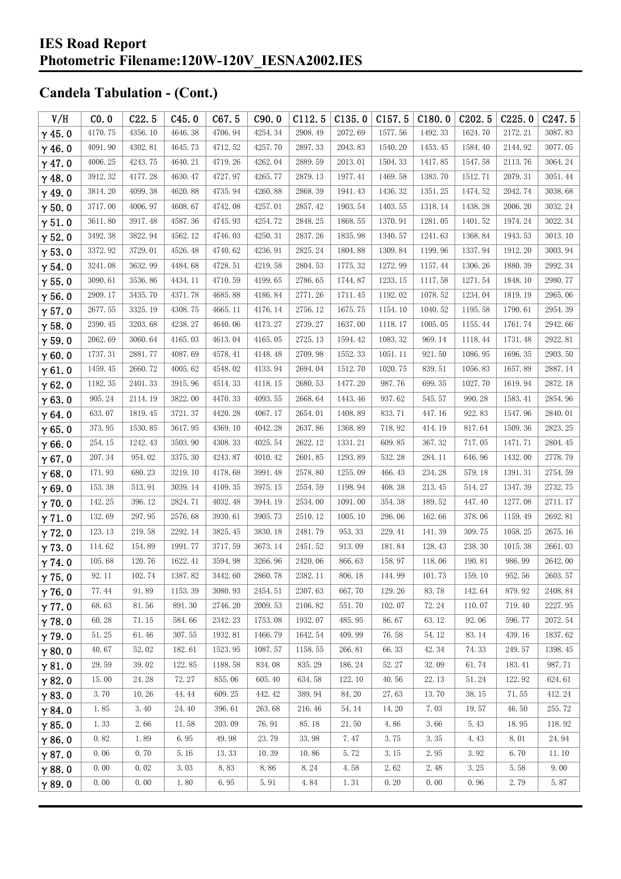| V/H           | CO.0    | C22.5   | C45.0   | C67.5   | C90.0   | C112.5  | C135.0  | C157.5  | C180.0  | C <sub>202.5</sub> | C225.0  | C <sub>247.5</sub> |
|---------------|---------|---------|---------|---------|---------|---------|---------|---------|---------|--------------------|---------|--------------------|
| $\gamma$ 45.0 | 4170.75 | 4356.10 | 4646.38 | 4706.94 | 4254.34 | 2908.49 | 2072.69 | 1577.56 | 1492.33 | 1624.70            | 2172.21 | 3087.83            |
| $\gamma$ 46.0 | 4091.90 | 4302.81 | 4645.73 | 4712.52 | 4257.70 | 2897.33 | 2043.83 | 1540.20 | 1453.45 | 1584.40            | 2144.92 | 3077.05            |
| $\gamma$ 47.0 | 4006.25 | 4243.75 | 4640.21 | 4719.26 | 4262.04 | 2889.59 | 2013.01 | 1504.33 | 1417.85 | 1547.58            | 2113.76 | 3064.24            |
| $\gamma$ 48.0 | 3912.32 | 4177.28 | 4630.47 | 4727.97 | 4265.77 | 2879.13 | 1977.41 | 1469.58 | 1383.70 | 1512.71            | 2079.31 | 3051.44            |
| $\gamma$ 49.0 | 3814.20 | 4099.38 | 4620.88 | 4735.94 | 4260.88 | 2868.39 | 1941.43 | 1436.32 | 1351.25 | 1474.52            | 2042.74 | 3038.68            |
| $\gamma$ 50.0 | 3717.00 | 4006.97 | 4608.67 | 4742.08 | 4257.01 | 2857.42 | 1903.54 | 1403.55 | 1318.14 | 1438.28            | 2006.20 | 3032.24            |
| $\gamma$ 51.0 | 3611.80 | 3917.48 | 4587.36 | 4745.93 | 4254.72 | 2848.25 | 1868.55 | 1370.91 | 1281.05 | 1401.52            | 1974.24 | 3022.34            |
| $\gamma$ 52.0 | 3492.38 | 3822.94 | 4562.12 | 4746.03 | 4250.31 | 2837.26 | 1835.98 | 1340.57 | 1241.63 | 1368.84            | 1943.53 | 3013.10            |
| $\gamma$ 53.0 | 3372.92 | 3729.01 | 4526.48 | 4740.62 | 4236.91 | 2825.24 | 1804.88 | 1309.84 | 1199.96 | 1337.94            | 1912.20 | 3003.94            |
| $\gamma$ 54.0 | 3241.08 | 3632.99 | 4484.68 | 4728.51 | 4219.58 | 2804.53 | 1775.32 | 1272.99 | 1157.44 | 1306.26            | 1880.39 | 2992.34            |
| $\gamma$ 55.0 | 3090.61 | 3536.86 | 4434.11 | 4710.59 | 4199.65 | 2786.65 | 1744.87 | 1233.15 | 1117.58 | 1271.54            | 1848.10 | 2980.77            |
| $\gamma$ 56.0 | 2909.17 | 3435.70 | 4371.78 | 4685.88 | 4186.84 | 2771.26 | 1711.45 | 1192.02 | 1078.52 | 1234.04            | 1819.19 | 2965.06            |
| $\gamma$ 57.0 | 2677.55 | 3325.19 | 4308.75 | 4665.11 | 4176.14 | 2756.12 | 1675.75 | 1154.10 | 1040.52 | 1195.58            | 1790.61 | 2954.39            |
| $\gamma$ 58.0 | 2390.45 | 3203.68 | 4238.27 | 4640.06 | 4173.27 | 2739.27 | 1637.00 | 1118.17 | 1005.05 | 1155.44            | 1761.74 | 2942.66            |
| $\gamma$ 59.0 | 2062.69 | 3060.64 | 4165.03 | 4613.04 | 4165.05 | 2725.13 | 1594.42 | 1083.32 | 969.14  | 1118.44            | 1731.48 | 2922.81            |
| $\gamma$ 60.0 | 1737.31 | 2881.77 | 4087.69 | 4578.41 | 4148.48 | 2709.98 | 1552.33 | 1051.11 | 921.50  | 1086.95            | 1696.35 | 2903.50            |
| $\gamma$ 61.0 | 1459.45 | 2660.72 | 4005.62 | 4548.02 | 4133.94 | 2694.04 | 1512.70 | 1020.75 | 839.51  | 1056.83            | 1657.89 | 2887.14            |
| $\gamma$ 62.0 | 1182.35 | 2401.33 | 3915.96 | 4514.33 | 4118.15 | 2680.53 | 1477.20 | 987.76  | 699.35  | 1027.70            | 1619.94 | 2872.18            |
| $\gamma$ 63.0 | 905.24  | 2114.19 | 3822.00 | 4470.33 | 4093.55 | 2668.64 | 1443.46 | 937.62  | 545.57  | 990.28             | 1583.41 | 2854.96            |
| $\gamma$ 64.0 | 633.07  | 1819.45 | 3721.37 | 4420.28 | 4067.17 | 2654.01 | 1408.89 | 833.71  | 447.16  | 922.83             | 1547.96 | 2840.01            |
| $\gamma$ 65.0 | 373.95  | 1530.85 | 3617.95 | 4369.10 | 4042.28 | 2637.86 | 1368.89 | 718.92  | 414.19  | 817.64             | 1509.36 | 2823.25            |
| $\gamma$ 66.0 | 254.15  | 1242.43 | 3503.90 | 4308.33 | 4025.54 | 2622.12 | 1331.21 | 609.85  | 367.32  | 717.05             | 1471.71 | 2804.45            |
| $\gamma$ 67.0 | 207.34  | 954.02  | 3375.30 | 4243.87 | 4010.42 | 2601.85 | 1293.89 | 532.28  | 284.11  | 646.96             | 1432.00 | 2778.79            |
| $\gamma$ 68.0 | 171.93  | 680.23  | 3219.10 | 4178.68 | 3991.48 | 2578.80 | 1255.09 | 466.43  | 234.28  | 579.18             | 1391.31 | 2754.59            |
| $\gamma$ 69.0 | 153.38  | 513.91  | 3039.14 | 4109.35 | 3975.15 | 2554.59 | 1198.94 | 408.38  | 213.45  | 514.27             | 1347.39 | 2732.75            |
| $\gamma$ 70.0 | 142.25  | 396.12  | 2824.71 | 4032.48 | 3944.19 | 2534.00 | 1091.00 | 354.38  | 189.52  | 447.40             | 1277.08 | 2711.17            |
| $\gamma$ 71.0 | 132.69  | 297.95  | 2576.68 | 3930.61 | 3905.73 | 2510.12 | 1005.10 | 296.06  | 162.66  | 378.06             | 1159.49 | 2692.81            |
| $\gamma$ 72.0 | 123.13  | 219.58  | 2292.14 | 3825.45 | 3830.18 | 2481.79 | 953.33  | 229.41  | 141.39  | 309.75             | 1058.25 | 2675.16            |
| $\gamma$ 73.0 | 114.62  | 154.89  | 1991.77 | 3717.59 | 3673.14 | 2451.52 | 913.09  | 181.84  | 128.43  | 238.30             | 1015.38 | 2661.03            |
| $\gamma$ 74.0 | 105.68  | 120.76  | 1622.41 | 3594.98 | 3266.96 | 2420.06 | 866.63  | 158.97  | 118.06  | 190.81             | 986.99  | 2642.00            |
| $\gamma$ 75.0 | 92.11   | 102.74  | 1387.82 | 3442.60 | 2860.78 | 2382.11 | 806.18  | 144.99  | 101.73  | 159.10             | 952.56  | 2603.57            |
| $\gamma$ 76.0 | 77.44   | 91.89   | 1153.39 | 3080.93 | 2454.51 | 2307.63 | 667.70  | 129.26  | 83.78   | 142.64             | 879.92  | 2408.84            |
| $\gamma$ 77.0 | 68.63   | 81.56   | 891.30  | 2746.20 | 2009.53 | 2106.82 | 551.70  | 102.07  | 72.24   | 110.07             | 719.40  | 2227.95            |
| $\gamma$ 78.0 | 60.28   | 71.15   | 584.66  | 2342.23 | 1753.08 | 1932.07 | 485.95  | 86.67   | 63.12   | 92.06              | 596.77  | 2072.54            |
| $\gamma$ 79.0 | 51.25   | 61.46   | 307.55  | 1932.81 | 1466.79 | 1642.54 | 409.99  | 76.58   | 54.12   | 83.14              | 439.16  | 1837.62            |
| $\gamma$ 80.0 | 40.67   | 52.02   | 182.61  | 1523.95 | 1087.57 | 1158.55 | 266.81  | 66.33   | 42.34   | 74.33              | 249.57  | 1398.45            |
| $\gamma$ 81.0 | 29.59   | 39.02   | 122.85  | 1188.58 | 834.08  | 835.29  | 186.24  | 52.27   | 32.09   | 61.74              | 183.41  | 987.71             |
| $\gamma$ 82.0 | 15.00   | 24.28   | 72.27   | 855.06  | 605.40  | 634.58  | 122.10  | 40.56   | 22.13   | 51.24              | 122.92  | 624.61             |
| $\gamma$ 83.0 | 3.70    | 10.26   | 44.44   | 609.25  | 442.42  | 389.94  | 84.20   | 27.63   | 13.70   | 38.15              | 71.55   | 412.24             |
| $\gamma$ 84.0 | 1.85    | 3.40    | 24.40   | 396.61  | 263.68  | 216.46  | 54.14   | 14.20   | 7.03    | 19.57              | 46.50   | 255.72             |
| $\gamma$ 85.0 | 1.33    | 2.66    | 11.58   | 203.09  | 76.91   | 85.18   | 21.50   | 4.86    | 3.66    | 5.43               | 18.95   | 118.92             |
| $\gamma$ 86.0 | 0.82    | 1.89    | 6.95    | 49.98   | 23.79   | 33.98   | 7.47    | 3.75    | 3.35    | 4.43               | 8.01    | 24.94              |
| $\gamma$ 87.0 | 0.06    | 0.70    | 5.16    | 13.33   | 10.39   | 10.86   | 5.72    | 3.15    | 2.95    | 3.92               | 6.70    | 11.10              |
| $\gamma$ 88.0 | 0.00    | 0.02    | 3.03    | 8.83    | 8.86    | 8.24    | 4.58    | 2.62    | 2.48    | 3.25               | 5.58    | 9.00               |
| $\gamma$ 89.0 | 0.00    | 0.00    | 1.80    | 6.95    | 5.91    | 4.84    | 1.31    | 0.20    | 0.00    | 0.96               | 2.79    | 5.87               |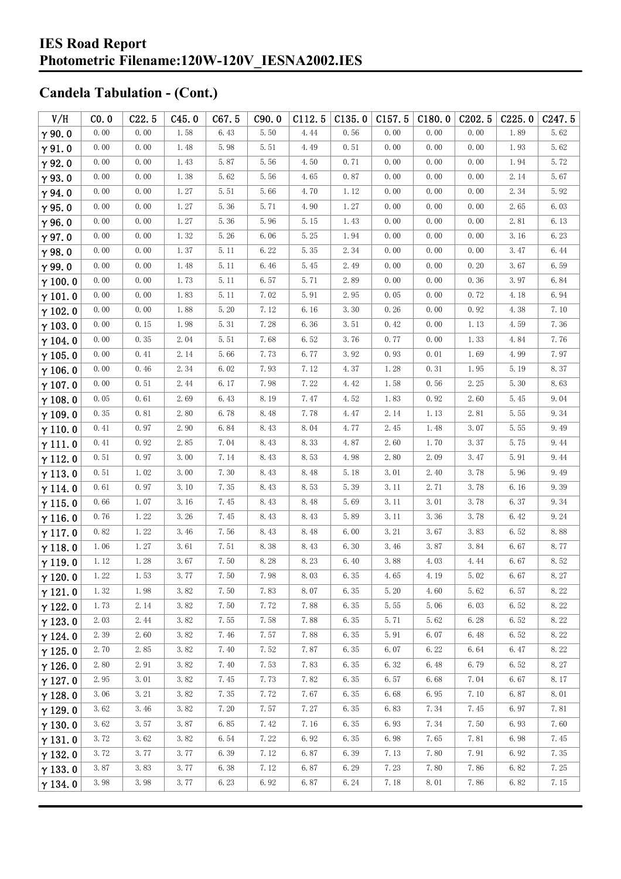#### **IES Road Report Photometric Filename:120W-120V\_IESNA2002.IES**

| V/H            | CO.0 | C22.5 | C45.0    | C67.5    | C90.0 | C112.5 | C135.0 | C157.5 | C180.0 | C <sub>202.5</sub> | C225.0 | C <sub>247.5</sub> |
|----------------|------|-------|----------|----------|-------|--------|--------|--------|--------|--------------------|--------|--------------------|
| $\gamma$ 90.0  | 0.00 | 0.00  | 1.58     | 6.43     | 5.50  | 4.44   | 0.56   | 0.00   | 0.00   | 0.00               | 1.89   | 5.62               |
| $\gamma$ 91.0  | 0.00 | 0.00  | 1.48     | 5.98     | 5.51  | 4.49   | 0.51   | 0.00   | 0.00   | 0.00               | 1.93   | 5.62               |
| $\gamma$ 92.0  | 0.00 | 0.00  | 1.43     | 5.87     | 5.56  | 4.50   | 0.71   | 0.00   | 0.00   | 0.00               | 1.94   | 5.72               |
| $\gamma$ 93.0  | 0.00 | 0.00  | 1.38     | 5.62     | 5.56  | 4.65   | 0.87   | 0.00   | 0.00   | 0.00               | 2.14   | 5.67               |
| $\gamma$ 94.0  | 0.00 | 0.00  | 1.27     | 5.51     | 5.66  | 4.70   | 1.12   | 0.00   | 0.00   | 0.00               | 2.34   | 5.92               |
| $\gamma$ 95.0  | 0.00 | 0.00  | $1.\,27$ | 5.36     | 5.71  | 4.90   | 1.27   | 0.00   | 0.00   | 0.00               | 2.65   | 6.03               |
| $\gamma$ 96.0  | 0.00 | 0.00  | 1.27     | 5.36     | 5.96  | 5.15   | 1.43   | 0.00   | 0.00   | 0.00               | 2.81   | 6.13               |
| $\gamma$ 97.0  | 0.00 | 0.00  | 1.32     | $5.\,26$ | 6.06  | 5.25   | 1.94   | 0.00   | 0.00   | 0.00               | 3.16   | 6.23               |
| $\gamma$ 98.0  | 0.00 | 0.00  | 1.37     | 5.11     | 6.22  | 5.35   | 2.34   | 0.00   | 0.00   | 0.00               | 3.47   | 6.44               |
| $\gamma$ 99.0  | 0.00 | 0.00  | 1.48     | 5.11     | 6.46  | 5.45   | 2.49   | 0.00   | 0.00   | 0.20               | 3.67   | 6.59               |
| $\gamma$ 100.0 | 0.00 | 0.00  | 1.73     | 5.11     | 6.57  | 5.71   | 2.89   | 0.00   | 0.00   | 0.36               | 3.97   | 6.84               |
| $\gamma$ 101.0 | 0.00 | 0.00  | 1.83     | 5.11     | 7.02  | 5.91   | 2.95   | 0.05   | 0.00   | 0.72               | 4.18   | 6.94               |
| $\gamma$ 102.0 | 0.00 | 0.00  | 1.88     | 5.20     | 7.12  | 6.16   | 3.30   | 0.26   | 0.00   | 0.92               | 4.38   | 7.10               |
| $\gamma$ 103.0 | 0.00 | 0.15  | 1.98     | 5.31     | 7.28  | 6.36   | 3.51   | 0.42   | 0.00   | 1.13               | 4.59   | 7.36               |
| $\gamma$ 104.0 | 0.00 | 0.35  | 2.04     | 5.51     | 7.68  | 6.52   | 3.76   | 0.77   | 0.00   | 1.33               | 4.84   | 7.76               |
| $\gamma$ 105.0 | 0.00 | 0.41  | 2.14     | 5.66     | 7.73  | 6.77   | 3.92   | 0.93   | 0.01   | 1.69               | 4.99   | 7.97               |
| $\gamma$ 106.0 | 0.00 | 0.46  | 2.34     | 6.02     | 7.93  | 7.12   | 4.37   | 1.28   | 0.31   | 1.95               | 5.19   | 8.37               |
| $\gamma$ 107.0 | 0.00 | 0.51  | 2.44     | 6.17     | 7.98  | 7.22   | 4.42   | 1.58   | 0.56   | 2.25               | 5.30   | 8.63               |
| $\gamma$ 108.0 | 0.05 | 0.61  | 2.69     | 6.43     | 8.19  | 7.47   | 4.52   | 1.83   | 0.92   | 2.60               | 5.45   | 9.04               |
| $\gamma$ 109.0 | 0.35 | 0.81  | 2.80     | 6.78     | 8.48  | 7.78   | 4.47   | 2.14   | 1.13   | 2.81               | 5.55   | 9.34               |
| $\gamma$ 110.0 | 0.41 | 0.97  | 2.90     | 6.84     | 8.43  | 8.04   | 4.77   | 2.45   | 1.48   | 3.07               | 5.55   | 9.49               |
| $\gamma$ 111.0 | 0.41 | 0.92  | 2.85     | 7.04     | 8.43  | 8.33   | 4.87   | 2.60   | 1.70   | 3.37               | 5.75   | 9.44               |
| $\gamma$ 112.0 | 0.51 | 0.97  | 3.00     | 7.14     | 8.43  | 8.53   | 4.98   | 2.80   | 2.09   | 3.47               | 5.91   | 9.44               |
| $\gamma$ 113.0 | 0.51 | 1.02  | 3.00     | 7.30     | 8.43  | 8.48   | 5.18   | 3.01   | 2.40   | 3.78               | 5.96   | 9.49               |
| $\gamma$ 114.0 | 0.61 | 0.97  | 3.10     | 7.35     | 8.43  | 8.53   | 5.39   | 3.11   | 2.71   | 3.78               | 6.16   | 9.39               |
| $\gamma$ 115.0 | 0.66 | 1.07  | 3.16     | 7.45     | 8.43  | 8.48   | 5.69   | 3.11   | 3.01   | 3.78               | 6.37   | 9.34               |
| $\gamma$ 116.0 | 0.76 | 1.22  | 3.26     | 7.45     | 8.43  | 8.43   | 5.89   | 3.11   | 3.36   | 3.78               | 6.42   | 9.24               |
| $\gamma$ 117.0 | 0.82 | 1.22  | 3.46     | 7.56     | 8.43  | 8.48   | 6.00   | 3.21   | 3.67   | 3.83               | 6.52   | 8.88               |
| $\gamma$ 118.0 | 1.06 | 1.27  | 3.61     | 7.51     | 8.38  | 8.43   | 6.30   | 3.46   | 3.87   | 3.84               | 6.67   | 8.77               |
| $\gamma$ 119.0 | 1.12 | 1.28  | 3.67     | 7.50     | 8.28  | 8.23   | 6.40   | 3.88   | 4.03   | 4.44               | 6.67   | 8.52               |
| $\gamma$ 120.0 | 1.22 | 1.53  | 3.77     | 7.50     | 7.98  | 8.03   | 6.35   | 4.65   | 4.19   | 5.02               | 6.67   | $8.\,27$           |
| $\gamma$ 121.0 | 1.32 | 1.98  | 3.82     | 7.50     | 7.83  | 8.07   | 6.35   | 5.20   | 4.60   | 5.62               | 6.57   | 8.22               |
| $\gamma$ 122.0 | 1.73 | 2.14  | 3.82     | 7.50     | 7.72  | 7.88   | 6.35   | 5.55   | 5.06   | 6.03               | 6.52   | 8.22               |
| $\gamma$ 123.0 | 2.03 | 2.44  | 3.82     | 7.55     | 7.58  | 7.88   | 6.35   | 5.71   | 5.62   | 6.28               | 6.52   | 8.22               |
| $\gamma$ 124.0 | 2.39 | 2.60  | 3.82     | 7.46     | 7.57  | 7.88   | 6.35   | 5.91   | 6.07   | 6.48               | 6.52   | 8.22               |
| $\gamma$ 125.0 | 2.70 | 2.85  | 3.82     | 7.40     | 7.52  | 7.87   | 6.35   | 6.07   | 6.22   | 6.64               | 6.47   | 8.22               |
| $\gamma$ 126.0 | 2.80 | 2.91  | 3.82     | 7.40     | 7.53  | 7.83   | 6.35   | 6.32   | 6.48   | 6.79               | 6.52   | 8.27               |
| $\gamma$ 127.0 | 2.95 | 3.01  | 3.82     | 7.45     | 7.73  | 7.82   | 6.35   | 6.57   | 6.68   | 7.04               | 6.67   | 8.17               |
| $\gamma$ 128.0 | 3.06 | 3.21  | 3.82     | 7.35     | 7.72  | 7.67   | 6.35   | 6.68   | 6.95   | 7.10               | 6.87   | 8.01               |
| $\gamma$ 129.0 | 3.62 | 3.46  | 3.82     | 7.20     | 7.57  | 7.27   | 6.35   | 6.83   | 7.34   | 7.45               | 6.97   | 7.81               |
| $\gamma$ 130.0 | 3.62 | 3.57  | 3.87     | 6.85     | 7.42  | 7.16   | 6.35   | 6.93   | 7.34   | 7.50               | 6.93   | 7.60               |
| $\gamma$ 131.0 | 3.72 | 3.62  | 3.82     | 6.54     | 7.22  | 6.92   | 6.35   | 6.98   | 7.65   | 7.81               | 6.98   | 7.45               |
| $\gamma$ 132.0 | 3.72 | 3.77  | 3.77     | 6.39     | 7.12  | 6.87   | 6.39   | 7.13   | 7.80   | 7.91               | 6.92   | 7.35               |
| $\gamma$ 133.0 | 3.87 | 3.83  | 3.77     | 6.38     | 7.12  | 6.87   | 6.29   | 7.23   | 7.80   | 7.86               | 6.82   | 7.25               |
| $\gamma$ 134.0 | 3.98 | 3.98  | 3.77     | 6.23     | 6.92  | 6.87   | 6.24   | 7.18   | 8.01   | 7.86               | 6.82   | 7.15               |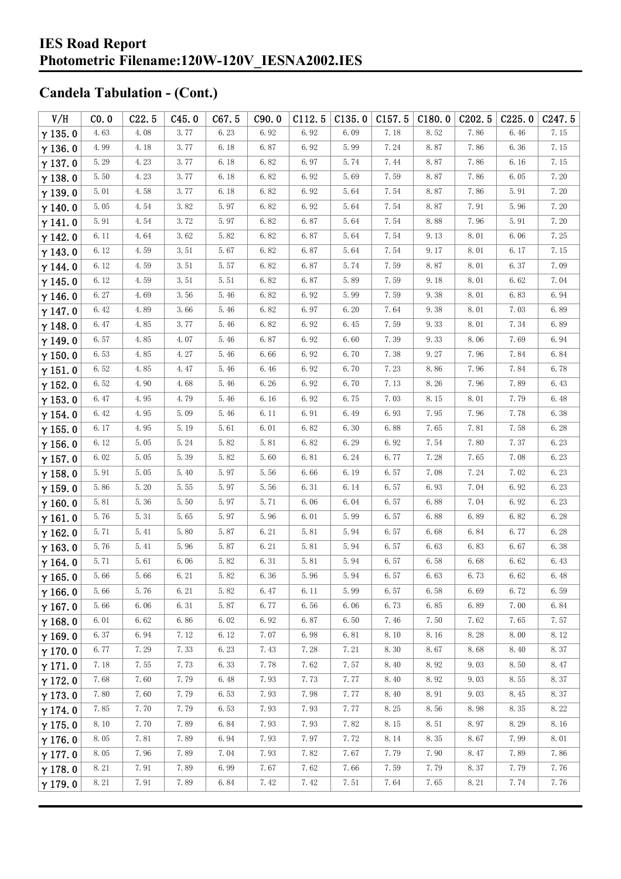| V/H            | CO.0 | C22.5 | C45.0 | C67.5 | C90.0 | C112.5   | C135.0 | C157.5 | C180.0 | C <sub>202.5</sub> | C225.0 | C <sub>247.5</sub> |
|----------------|------|-------|-------|-------|-------|----------|--------|--------|--------|--------------------|--------|--------------------|
| $\gamma$ 135.0 | 4.63 | 4.08  | 3.77  | 6.23  | 6.92  | 6.92     | 6.09   | 7.18   | 8.52   | 7.86               | 6.46   | 7.15               |
| $\gamma$ 136.0 | 4.99 | 4.18  | 3.77  | 6.18  | 6.87  | 6.92     | 5.99   | 7.24   | 8.87   | 7.86               | 6.36   | 7.15               |
| $\gamma$ 137.0 | 5.29 | 4.23  | 3.77  | 6.18  | 6.82  | 6.97     | 5.74   | 7.44   | 8.87   | 7.86               | 6.16   | 7.15               |
| $\gamma$ 138.0 | 5.50 | 4.23  | 3.77  | 6.18  | 6.82  | 6.92     | 5.69   | 7.59   | 8.87   | 7.86               | 6.05   | 7.20               |
| $\gamma$ 139.0 | 5.01 | 4.58  | 3.77  | 6.18  | 6.82  | 6.92     | 5.64   | 7.54   | 8.87   | 7.86               | 5.91   | 7.20               |
| $\gamma$ 140.0 | 5.05 | 4.54  | 3.82  | 5.97  | 6.82  | 6.92     | 5.64   | 7.54   | 8.87   | 7.91               | 5.96   | 7.20               |
| $\gamma$ 141.0 | 5.91 | 4.54  | 3.72  | 5.97  | 6.82  | 6.87     | 5.64   | 7.54   | 8.88   | 7.96               | 5.91   | 7.20               |
| $\gamma$ 142.0 | 6.11 | 4.64  | 3.62  | 5.82  | 6.82  | 6.87     | 5.64   | 7.54   | 9.13   | 8.01               | 6.06   | 7.25               |
| $\gamma$ 143.0 | 6.12 | 4.59  | 3.51  | 5.67  | 6.82  | 6.87     | 5.64   | 7.54   | 9.17   | 8.01               | 6.17   | 7.15               |
| $\gamma$ 144.0 | 6.12 | 4.59  | 3.51  | 5.57  | 6.82  | 6.87     | 5.74   | 7.59   | 8.87   | 8.01               | 6.37   | 7.09               |
| $\gamma$ 145.0 | 6.12 | 4.59  | 3.51  | 5.51  | 6.82  | 6.87     | 5.89   | 7.59   | 9.18   | 8.01               | 6.62   | 7.04               |
| $\gamma$ 146.0 | 6.27 | 4.69  | 3.56  | 5.46  | 6.82  | 6.92     | 5.99   | 7.59   | 9.38   | 8.01               | 6.83   | 6.94               |
| $\gamma$ 147.0 | 6.42 | 4.89  | 3.66  | 5.46  | 6.82  | 6.97     | 6.20   | 7.64   | 9.38   | 8.01               | 7.03   | 6.89               |
| $\gamma$ 148.0 | 6.47 | 4.85  | 3.77  | 5.46  | 6.82  | 6.92     | 6.45   | 7.59   | 9.33   | 8.01               | 7.34   | 6.89               |
| $\gamma$ 149.0 | 6.57 | 4.85  | 4.07  | 5.46  | 6.87  | 6.92     | 6.60   | 7.39   | 9.33   | 8.06               | 7.69   | 6.94               |
| $\gamma$ 150.0 | 6.53 | 4.85  | 4.27  | 5.46  | 6.66  | 6.92     | 6.70   | 7.38   | 9.27   | 7.96               | 7.84   | 6.84               |
| $\gamma$ 151.0 | 6.52 | 4.85  | 4.47  | 5.46  | 6.46  | 6.92     | 6.70   | 7.23   | 8.86   | 7.96               | 7.84   | 6.78               |
| $\gamma$ 152.0 | 6.52 | 4.90  | 4.68  | 5.46  | 6.26  | 6.92     | 6.70   | 7.13   | 8.26   | 7.96               | 7.89   | 6.43               |
| $\gamma$ 153.0 | 6.47 | 4.95  | 4.79  | 5.46  | 6.16  | 6.92     | 6.75   | 7.03   | 8.15   | 8.01               | 7.79   | 6.48               |
| $\gamma$ 154.0 | 6.42 | 4.95  | 5.09  | 5.46  | 6.11  | 6.91     | 6.49   | 6.93   | 7.95   | 7.96               | 7.78   | 6.38               |
| $\gamma$ 155.0 | 6.17 | 4.95  | 5.19  | 5.61  | 6.01  | 6.82     | 6.30   | 6.88   | 7.65   | 7.81               | 7.58   | 6.28               |
| $\gamma$ 156.0 | 6.12 | 5.05  | 5.24  | 5.82  | 5.81  | 6.82     | 6.29   | 6.92   | 7.54   | 7.80               | 7.37   | 6.23               |
| $\gamma$ 157.0 | 6.02 | 5.05  | 5.39  | 5.82  | 5.60  | 6.81     | 6.24   | 6.77   | 7.28   | 7.65               | 7.08   | 6.23               |
| $\gamma$ 158.0 | 5.91 | 5.05  | 5.40  | 5.97  | 5.56  | 6.66     | 6.19   | 6.57   | 7.08   | 7.24               | 7.02   | 6.23               |
| $\gamma$ 159.0 | 5.86 | 5.20  | 5.55  | 5.97  | 5.56  | 6.31     | 6.14   | 6.57   | 6.93   | 7.04               | 6.92   | 6.23               |
| $\gamma$ 160.0 | 5.81 | 5.36  | 5.50  | 5.97  | 5.71  | 6.06     | 6.04   | 6.57   | 6.88   | 7.04               | 6.92   | 6.23               |
| $\gamma$ 161.0 | 5.76 | 5.31  | 5.65  | 5.97  | 5.96  | 6.01     | 5.99   | 6.57   | 6.88   | 6.89               | 6.82   | 6.28               |
| $\gamma$ 162.0 | 5.71 | 5.41  | 5.80  | 5.87  | 6.21  | 5.81     | 5.94   | 6.57   | 6.68   | 6.84               | 6.77   | 6.28               |
| $\gamma$ 163.0 | 5.76 | 5.41  | 5.96  | 5.87  | 6.21  | 5.81     | 5.94   | 6.57   | 6.63   | 6.83               | 6.67   | 6.38               |
| $\gamma$ 164.0 | 5.71 | 5.61  | 6.06  | 5.82  | 6.31  | 5.81     | 5.94   | 6.57   | 6.58   | 6.68               | 6.62   | 6.43               |
| $\gamma$ 165.0 | 5.66 | 5.66  | 6.21  | 5.82  | 6.36  | $5.96\,$ | 5.94   | 6.57   | 6.63   | 6.73               | 6.62   | 6.48               |
| $\gamma$ 166.0 | 5.66 | 5.76  | 6.21  | 5.82  | 6.47  | 6.11     | 5.99   | 6.57   | 6.58   | 6.69               | 6.72   | 6.59               |
| $\gamma$ 167.0 | 5.66 | 6.06  | 6.31  | 5.87  | 6.77  | 6.56     | 6.06   | 6.73   | 6.85   | 6.89               | 7.00   | 6.84               |
| $\gamma$ 168.0 | 6.01 | 6.62  | 6.86  | 6.02  | 6.92  | 6.87     | 6.50   | 7.46   | 7.50   | 7.62               | 7.65   | 7.57               |
| $\gamma$ 169.0 | 6.37 | 6.94  | 7.12  | 6.12  | 7.07  | 6.98     | 6.81   | 8.10   | 8.16   | 8.28               | 8.00   | 8.12               |
| $\gamma$ 170.0 | 6.77 | 7.29  | 7.33  | 6.23  | 7.43  | 7.28     | 7.21   | 8.30   | 8.67   | 8.68               | 8.40   | 8.37               |
| $\gamma$ 171.0 | 7.18 | 7.55  | 7.73  | 6.33  | 7.78  | 7.62     | 7.57   | 8.40   | 8.92   | 9.03               | 8.50   | 8.47               |
| $\gamma$ 172.0 | 7.68 | 7.60  | 7.79  | 6.48  | 7.93  | 7.73     | 7.77   | 8.40   | 8.92   | 9.03               | 8.55   | 8.37               |
| $\gamma$ 173.0 | 7.80 | 7.60  | 7.79  | 6.53  | 7.93  | 7.98     | 7.77   | 8.40   | 8.91   | 9.03               | 8.45   | 8.37               |
| $\gamma$ 174.0 | 7.85 | 7.70  | 7.79  | 6.53  | 7.93  | 7.93     | 7.77   | 8.25   | 8.56   | 8.98               | 8.35   | 8.22               |
| $\gamma$ 175.0 | 8.10 | 7.70  | 7.89  | 6.84  | 7.93  | 7.93     | 7.82   | 8.15   | 8.51   | 8.97               | 8.29   | 8.16               |
| $\gamma$ 176.0 | 8.05 | 7.81  | 7.89  | 6.94  | 7.93  | 7.97     | 7.72   | 8.14   | 8.35   | 8.67               | 7.99   | 8.01               |
| $\gamma$ 177.0 | 8.05 | 7.96  | 7.89  | 7.04  | 7.93  | 7.82     | 7.67   | 7.79   | 7.90   | 8.47               | 7.89   | 7.86               |
| $\gamma$ 178.0 | 8.21 | 7.91  | 7.89  | 6.99  | 7.67  | 7.62     | 7.66   | 7.59   | 7.79   | 8.37               | 7.79   | 7.76               |
| $\gamma$ 179.0 | 8.21 | 7.91  | 7.89  | 6.84  | 7.42  | 7.42     | 7.51   | 7.64   | 7.65   | 8.21               | 7.74   | 7.76               |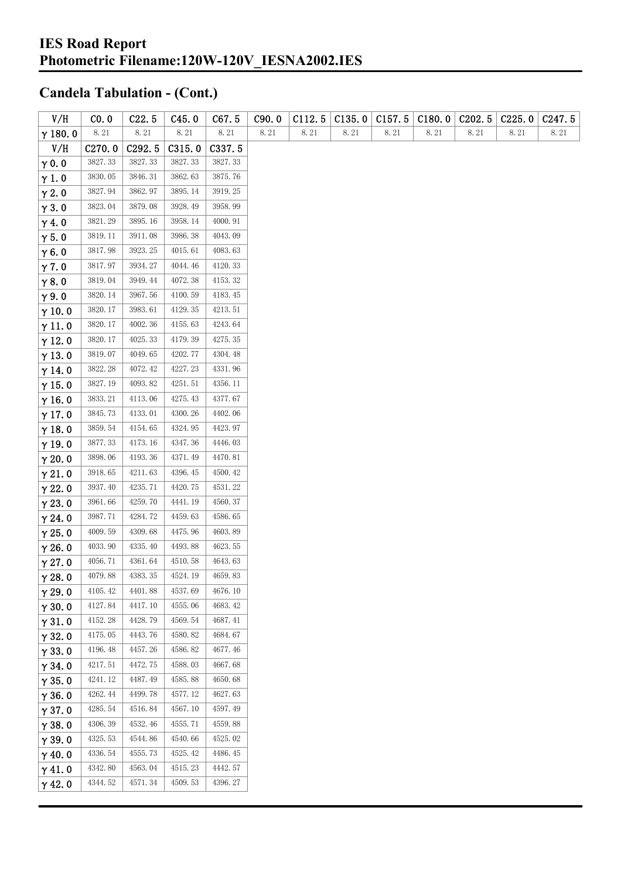| V/H            | CO.0               | C22.5    | C45.0   | C67.5    | C90.0 | C112.5   | C135.0 | C157.5 | C180.0 | C <sub>2</sub> 02.5 | C225.0 | C247.5 |
|----------------|--------------------|----------|---------|----------|-------|----------|--------|--------|--------|---------------------|--------|--------|
| $\gamma$ 180.0 | $8.\,21$           | $8.\,21$ | 8.21    | $8.\,21$ | 8.21  | $8.\,21$ | 8.21   | 8.21   | 8.21   | 8.21                | 8.21   | 8.21   |
| V/H            | C <sub>270.0</sub> | C292.5   | C315.0  | C337.5   |       |          |        |        |        |                     |        |        |
| $\gamma$ 0.0   | 3827.33            | 3827.33  | 3827.33 | 3827.33  |       |          |        |        |        |                     |        |        |
| $\gamma$ 1.0   | 3830.05            | 3846.31  | 3862.63 | 3875.76  |       |          |        |        |        |                     |        |        |
| $\gamma$ 2.0   | 3827.94            | 3862.97  | 3895.14 | 3919.25  |       |          |        |        |        |                     |        |        |
| $\gamma$ 3.0   | 3823.04            | 3879.08  | 3928.49 | 3958.99  |       |          |        |        |        |                     |        |        |
| $\gamma$ 4.0   | 3821.29            | 3895.16  | 3958.14 | 4000.91  |       |          |        |        |        |                     |        |        |
| $\gamma$ 5.0   | 3819.11            | 3911.08  | 3986.38 | 4043.09  |       |          |        |        |        |                     |        |        |
| $\gamma$ 6.0   | 3817.98            | 3923.25  | 4015.61 | 4083.63  |       |          |        |        |        |                     |        |        |
| $\gamma$ 7.0   | 3817.97            | 3934.27  | 4044.46 | 4120.33  |       |          |        |        |        |                     |        |        |
| $\gamma$ 8.0   | 3819.04            | 3949.44  | 4072.38 | 4153.32  |       |          |        |        |        |                     |        |        |
| $\gamma$ 9.0   | 3820.14            | 3967.56  | 4100.59 | 4183.45  |       |          |        |        |        |                     |        |        |
| $\gamma$ 10.0  | 3820.17            | 3983.61  | 4129.35 | 4213.51  |       |          |        |        |        |                     |        |        |
| $\gamma$ 11.0  | 3820.17            | 4002.36  | 4155.63 | 4243.64  |       |          |        |        |        |                     |        |        |
| $\gamma$ 12.0  | 3820.17            | 4025.33  | 4179.39 | 4275.35  |       |          |        |        |        |                     |        |        |
| $\gamma$ 13.0  | 3819.07            | 4049.65  | 4202.77 | 4304.48  |       |          |        |        |        |                     |        |        |
| $\gamma$ 14.0  | 3822.28            | 4072.42  | 4227.23 | 4331.96  |       |          |        |        |        |                     |        |        |
| $\gamma$ 15.0  | 3827.19            | 4093.82  | 4251.51 | 4356.11  |       |          |        |        |        |                     |        |        |
| $\gamma$ 16.0  | 3833.21            | 4113.06  | 4275.43 | 4377.67  |       |          |        |        |        |                     |        |        |
| $\gamma$ 17.0  | 3845.73            | 4133.01  | 4300.26 | 4402.06  |       |          |        |        |        |                     |        |        |
| $\gamma$ 18.0  | 3859.54            | 4154.65  | 4324.95 | 4423.97  |       |          |        |        |        |                     |        |        |
| $\gamma$ 19.0  | 3877.33            | 4173.16  | 4347.36 | 4446.03  |       |          |        |        |        |                     |        |        |
| $\gamma$ 20.0  | 3898.06            | 4193.36  | 4371.49 | 4470.81  |       |          |        |        |        |                     |        |        |
| $\gamma$ 21.0  | 3918.65            | 4211.63  | 4396.45 | 4500.42  |       |          |        |        |        |                     |        |        |
| $\gamma$ 22.0  | 3937.40            | 4235.71  | 4420.75 | 4531.22  |       |          |        |        |        |                     |        |        |
| $\gamma$ 23.0  | 3961.66            | 4259.70  | 4441.19 | 4560.37  |       |          |        |        |        |                     |        |        |
| $\gamma$ 24.0  | 3987.71            | 4284.72  | 4459.63 | 4586.65  |       |          |        |        |        |                     |        |        |
| $\gamma$ 25.0  | 4009.59            | 4309.68  | 4475.96 | 4603.89  |       |          |        |        |        |                     |        |        |
| $\gamma$ 26.0  | 4033.90            | 4335.40  | 4493.88 | 4623.55  |       |          |        |        |        |                     |        |        |
| $\gamma$ 27.0  | 4056.71            | 4361.64  | 4510.58 | 4643.63  |       |          |        |        |        |                     |        |        |
| $\gamma$ 28.0  | 4079.88            | 4383.35  | 4524.19 | 4659.83  |       |          |        |        |        |                     |        |        |
| $\gamma$ 29.0  | 4105.42            | 4401.88  | 4537.69 | 4676.10  |       |          |        |        |        |                     |        |        |
| $\gamma$ 30.0  | 4127.84            | 4417.10  | 4555.06 | 4683.42  |       |          |        |        |        |                     |        |        |
| $\gamma$ 31.0  | 4152.28            | 4428.79  | 4569.54 | 4687.41  |       |          |        |        |        |                     |        |        |
| $\gamma$ 32.0  | 4175.05            | 4443.76  | 4580.82 | 4684.67  |       |          |        |        |        |                     |        |        |
| $\gamma$ 33.0  | 4196.48            | 4457.26  | 4586.82 | 4677.46  |       |          |        |        |        |                     |        |        |
| $\gamma$ 34.0  | 4217.51            | 4472.75  | 4588.03 | 4667.68  |       |          |        |        |        |                     |        |        |
| $\gamma$ 35.0  | 4241.12            | 4487.49  | 4585.88 | 4650.68  |       |          |        |        |        |                     |        |        |
| $\gamma$ 36.0  | 4262.44            | 4499.78  | 4577.12 | 4627.63  |       |          |        |        |        |                     |        |        |
| $\gamma$ 37.0  | 4285.54            | 4516.84  | 4567.10 | 4597.49  |       |          |        |        |        |                     |        |        |
| $\gamma$ 38.0  | 4306.39            | 4532.46  | 4555.71 | 4559.88  |       |          |        |        |        |                     |        |        |
| $\gamma$ 39.0  | 4325.53            | 4544.86  | 4540.66 | 4525.02  |       |          |        |        |        |                     |        |        |
| $\gamma$ 40.0  | 4336.54            | 4555.73  | 4525.42 | 4486.45  |       |          |        |        |        |                     |        |        |
| $\gamma$ 41.0  | 4342.80            | 4563.04  | 4515.23 | 4442.57  |       |          |        |        |        |                     |        |        |
| $\gamma$ 42.0  | 4344.52            | 4571.34  | 4509.53 | 4396.27  |       |          |        |        |        |                     |        |        |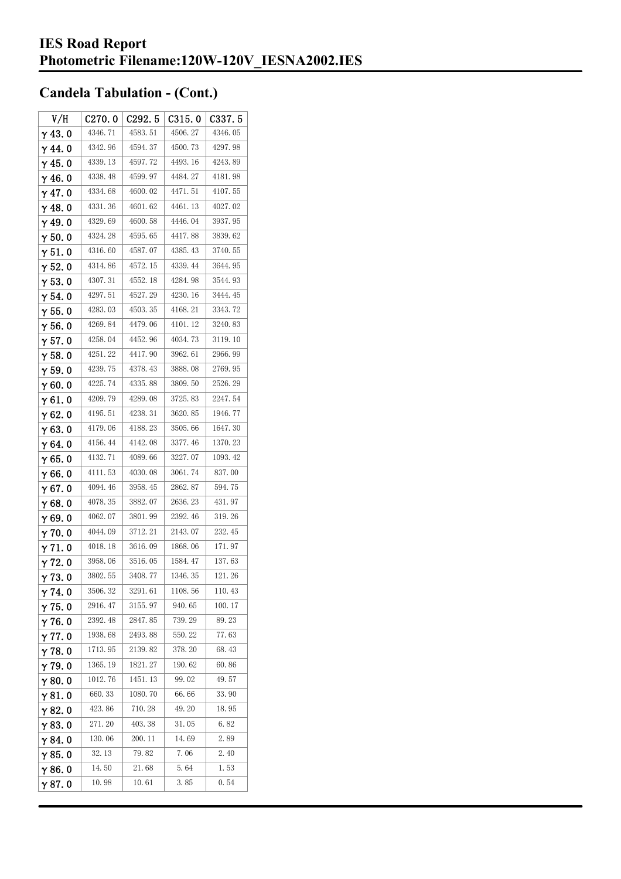| V/H            | C270.0  | C <sub>292.5</sub> | C315.0  | C337.5  |
|----------------|---------|--------------------|---------|---------|
| $\gamma$ 43.0  | 4346.71 | 4583.51            | 4506.27 | 4346.05 |
| $\gamma$ 44.0  | 4342.96 | 4594.37            | 4500.73 | 4297.98 |
| $\gamma$ 45. 0 | 4339.13 | 4597.72            | 4493.16 | 4243.89 |
| $\gamma$ 46.0  | 4338.48 | 4599.97            | 4484.27 | 4181.98 |
| $\gamma$ 47.0  | 4334.68 | 4600.02            | 4471.51 | 4107.55 |
| $\gamma$ 48.0  | 4331.36 | 4601.62            | 4461.13 | 4027.02 |
| $\gamma$ 49.0  | 4329.69 | 4600.58            | 4446.04 | 3937.95 |
| $\gamma$ 50.0  | 4324.28 | 4595.65            | 4417.88 | 3839.62 |
| $\gamma$ 51. 0 | 4316.60 | 4587.07            | 4385.43 | 3740.55 |
| $\gamma$ 52.0  | 4314.86 | 4572.15            | 4339.44 | 3644.95 |
| $\gamma$ 53.0  | 4307.31 | 4552.18            | 4284.98 | 3544.93 |
| $\gamma$ 54.0  | 4297.51 | 4527.29            | 4230.16 | 3444.45 |
| $\gamma$ 55.0  | 4283.03 | 4503.35            | 4168.21 | 3343.72 |
| $\gamma$ 56. 0 | 4269.84 | 4479.06            | 4101.12 | 3240.83 |
| $\gamma$ 57. 0 | 4258.04 | 4452.96            | 4034.73 | 3119.10 |
| $\gamma$ 58.0  | 4251.22 | 4417.90            | 3962.61 | 2966.99 |
| $\gamma$ 59.0  | 4239.75 | 4378.43            | 3888.08 | 2769.95 |
| $\gamma$ 60.0  | 4225.74 | 4335.88            | 3809.50 | 2526.29 |
| $\gamma$ 61.0  | 4209.79 | 4289.08            | 3725.83 | 2247.54 |
| $\gamma$ 62.0  | 4195.51 | 4238.31            | 3620.85 | 1946.77 |
| $\gamma$ 63. 0 | 4179.06 | 4188.23            | 3505.66 | 1647.30 |
| $\gamma$ 64.0  | 4156.44 | 4142.08            | 3377.46 | 1370.23 |
| $\gamma$ 65.0  | 4132.71 | 4089.66            | 3227.07 | 1093.42 |
| $\gamma$ 66.0  | 4111.53 | 4030.08            | 3061.74 | 837.00  |
| $\gamma$ 67. 0 | 4094.46 | 3958.45            | 2862.87 | 594.75  |
| $\gamma$ 68.0  | 4078.35 | 3882.07            | 2636.23 | 431.97  |
| $\gamma$ 69.0  | 4062.07 | 3801.99            | 2392.46 | 319.26  |
| $\gamma$ 70.0  | 4044.09 | 3712.21            | 2143.07 | 232.45  |
| $\gamma$ 71.0  | 4018.18 | 3616.09            | 1868.06 | 171.97  |
| $\gamma$ 72.0  | 3958.06 | 3516.05            | 1584.47 | 137.63  |
| $\gamma$ 73. 0 | 3802.55 | 3408.77            | 1346.35 | 121.26  |
| $\gamma$ 74.0  | 3506.32 | 3291.61            | 1108.56 | 110.43  |
| $\gamma$ 75.0  | 2916.47 | 3155.97            | 940.65  | 100.17  |
| $\gamma$ 76.0  | 2392.48 | 2847.85            | 739.29  | 89.23   |
| $\gamma$ 77.0  | 1938.68 | 2493.88            | 550.22  | 77.63   |
| $\gamma$ 78.0  | 1713.95 | 2139.82            | 378.20  | 68.43   |
| $\gamma$ 79.0  | 1365.19 | 1821.27            | 190.62  | 60.86   |
| $\gamma$ 80.0  | 1012.76 | 1451.13            | 99.02   | 49.57   |
| $\gamma$ 81. 0 | 660.33  | 1080.70            | 66.66   | 33.90   |
| $\gamma$ 82.0  | 423.86  | 710.28             | 49.20   | 18.95   |
| $\gamma$ 83.0  | 271.20  | 403.38             | 31.05   | 6.82    |
| $\gamma$ 84.0  | 130.06  | 200.11             | 14.69   | 2.89    |
| $\gamma$ 85.0  | 32.13   | 79.82              | 7.06    | 2.40    |
| $\gamma$ 86.0  | 14.50   | 21.68              | 5.64    | 1.53    |
| γ87.0          | 10.98   | 10.61              | 3.85    | 0.54    |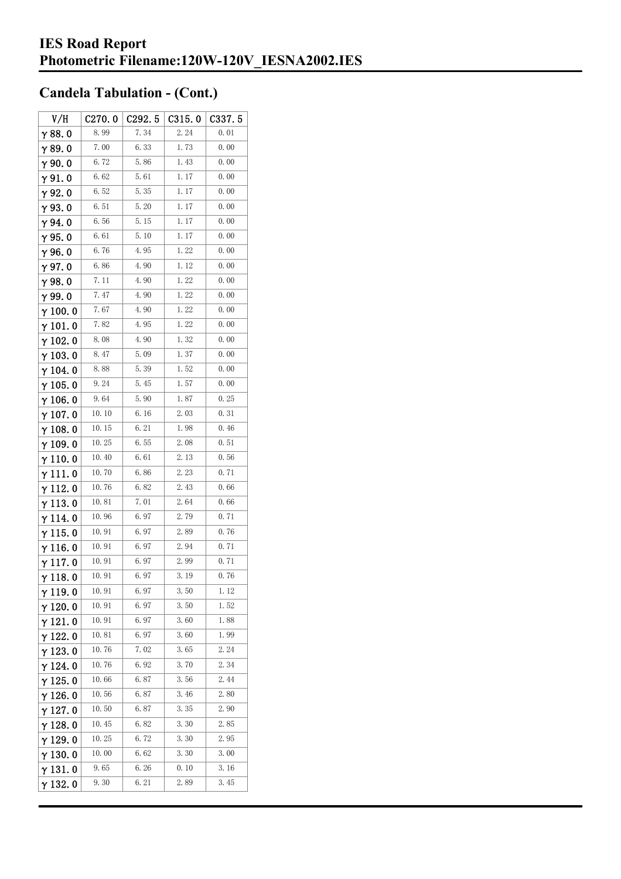| V/H             | C270.0 | C292.5 | C315.0 | C337. 5 |
|-----------------|--------|--------|--------|---------|
| $\gamma$ 88. 0  | 8.99   | 7.34   | 2.24   | 0.01    |
| γ89.0           | 7.00   | 6.33   | 1.73   | 0.00    |
| γ90.0           | 6.72   | 5.86   | 1.43   | 0.00    |
| γ91.0           | 6.62   | 5.61   | 1.17   | 0.00    |
| γ92.0           | 6.52   | 5.35   | 1.17   | 0.00    |
| $\gamma$ 93. O  | 6.51   | 5.20   | 1.17   | 0.00    |
| γ94.0           | 6.56   | 5.15   | 1.17   | 0.00    |
| $\gamma$ 95.0   | 6.61   | 5.10   | 1.17   | 0.00    |
| γ96.0           | 6.76   | 4.95   | 1.22   | 0.00    |
| $\gamma$ 97. 0  | 6.86   | 4.90   | 1.12   | 0.00    |
| $\gamma$ 98.0   | 7. 11  | 4.90   | 1.22   | 0.00    |
| γ99.0           | 7.47   | 4.90   | 1.22   | 0.00    |
| $\gamma$ 100. 0 | 7.67   | 4.90   | 1.22   | 0.00    |
| $\gamma$ 101. 0 | 7.82   | 4.95   | 1.22   | 0.00    |
| $\gamma$ 102. 0 | 8.08   | 4.90   | 1.32   | 0.00    |
| $\gamma$ 103. 0 | 8.47   | 5.09   | 1.37   | 0.00    |
| γ 104. 0        | 8.88   | 5.39   | 1.52   | 0.00    |
| $\gamma$ 105. 0 | 9.24   | 5.45   | 1.57   | 0.00    |
| γ106.0          | 9.64   | 5.90   | 1.87   | 0.25    |
| γ107.0          | 10.10  | 6. 16  | 2.03   | 0.31    |
| $\gamma$ 108. 0 | 10.15  | 6.21   | 1.98   | 0.46    |
| $\gamma$ 109.0  | 10.25  | 6. 55  | 2.08   | 0.51    |
| $\gamma$ 110. 0 | 10.40  | 6.61   | 2.13   | 0.56    |
| γ111.0          | 10.70  | 6.86   | 2.23   | 0.71    |
| $\gamma$ 112. 0 | 10.76  | 6.82   | 2.43   | 0.66    |
| $\gamma$ 113. 0 | 10.81  | 7.01   | 2.64   | 0.66    |
| γ 114. 0        | 10.96  | 6. 97  | 2.79   | 0.71    |
| $\gamma$ 115. 0 | 10.91  | 6.97   | 2.89   | 0.76    |
| γ116.0          | 10.91  | 6.97   | 2.94   | 0.71    |
| γ117.0          | 10.91  | 6.97   | 2.99   | 0.71    |
| $\gamma$ 118.0  | 10. 91 | 6.97   | 3.19   | 0.76    |
| γ119.0          | 10.91  | 6.97   | 3.50   | 1.12    |
| $\gamma$ 120. 0 | 10.91  | 6.97   | 3.50   | 1.52    |
| $\gamma$ 121.0  | 10.91  | 6. 97  | 3.60   | 1.88    |
| $\gamma$ 122. 0 | 10.81  | 6.97   | 3.60   | 1.99    |
| $\gamma$ 123.0  | 10. 76 | 7.02   | 3.65   | 2. 24   |
| γ 124. 0        | 10.76  | 6.92   | 3.70   | 2.34    |
| $\gamma$ 125. 0 | 10.66  | 6.87   | 3.56   | 2.44    |
| $\gamma$ 126. 0 | 10.56  | 6.87   | 3.46   | 2.80    |
| $\gamma$ 127. 0 | 10.50  | 6.87   | 3.35   | 2.90    |
| γ 128. 0        | 10.45  | 6.82   | 3.30   | 2.85    |
| γ 129. 0        | 10.25  | 6.72   | 3.30   | 2.95    |
| $\gamma$ 130. 0 | 10.00  | 6.62   | 3.30   | 3.00    |
| γ131.0          | 9.65   | 6. 26  | 0.10   | 3.16    |
| $\gamma$ 132. 0 | 9.30   | 6.21   | 2.89   | 3.45    |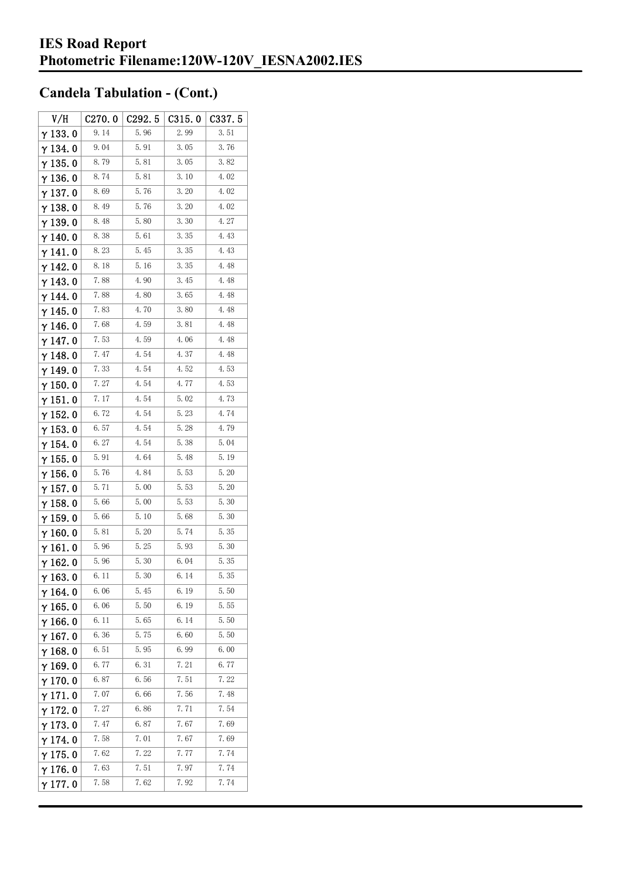| V/H             | C270.0 | C292.5 | C315.0 | C337.5 |
|-----------------|--------|--------|--------|--------|
| $\gamma$ 133.0  | 9.14   | 5.96   | 2.99   | 3.51   |
| γ134.0          | 9.04   | 5.91   | 3.05   | 3.76   |
| $\gamma$ 135.0  | 8.79   | 5.81   | 3.05   | 3.82   |
| $\gamma$ 136.0  | 8.74   | 5.81   | 3.10   | 4.02   |
| $\gamma$ 137. 0 | 8.69   | 5.76   | 3.20   | 4.02   |
| $\gamma$ 138. 0 | 8.49   | 5.76   | 3.20   | 4.02   |
| γ139.0          | 8.48   | 5.80   | 3.30   | 4.27   |
| $\gamma$ 140. 0 | 8.38   | 5.61   | 3.35   | 4.43   |
| γ141.0          | 8.23   | 5.45   | 3.35   | 4.43   |
| $\gamma$ 142. 0 | 8.18   | 5.16   | 3.35   | 4.48   |
| $\gamma$ 143.0  | 7.88   | 4.90   | 3.45   | 4.48   |
| $\gamma$ 144. 0 | 7.88   | 4.80   | 3.65   | 4.48   |
| $\gamma$ 145. 0 | 7.83   | 4.70   | 3.80   | 4.48   |
| $\gamma$ 146.0  | 7.68   | 4.59   | 3.81   | 4.48   |
| $\gamma$ 147. 0 | 7.53   | 4.59   | 4.06   | 4.48   |
| $\gamma$ 148. 0 | 7.47   | 4.54   | 4.37   | 4.48   |
| $\gamma$ 149. 0 | 7.33   | 4.54   | 4.52   | 4.53   |
| $\gamma$ 150. 0 | 7.27   | 4.54   | 4.77   | 4.53   |
| $\gamma$ 151.0  | 7.17   | 4.54   | 5.02   | 4.73   |
| γ 152. 0        | 6.72   | 4.54   | 5.23   | 4.74   |
| $\gamma$ 153. 0 | 6.57   | 4.54   | 5.28   | 4.79   |
| $\gamma$ 154. 0 | 6.27   | 4.54   | 5.38   | 5.04   |
| $\gamma$ 155. 0 | 5.91   | 4.64   | 5.48   | 5.19   |
| $\gamma$ 156. 0 | 5.76   | 4.84   | 5.53   | 5.20   |
| $\gamma$ 157. 0 | 5.71   | 5.00   | 5.53   | 5.20   |
| $\gamma$ 158.0  | 5.66   | 5.00   | 5.53   | 5.30   |
| $\gamma$ 159. 0 | 5.66   | 5.10   | 5.68   | 5.30   |
| $\gamma$ 160.0  | 5.81   | 5.20   | 5.74   | 5.35   |
| $\gamma$ 161. 0 | 5.96   | 5.25   | 5.93   | 5.30   |
| $\gamma$ 162.0  | 5.96   | 5.30   | 6.04   | 5.35   |
| $\gamma$ 163. 0 | 6. 11  | 5.30   | 6.14   | 5.35   |
| $\gamma$ 164. 0 | 6.06   | 5.45   | 6.19   | 5.50   |
| $\gamma$ 165.0  | 6.06   | 5.50   | 6.19   | 5.55   |
| $\gamma$ 166.0  | 6.11   | 5.65   | 6.14   | 5.50   |
| $\gamma$ 167. 0 | 6.36   | 5.75   | 6.60   | 5.50   |
| $\gamma$ 168.0  | 6.51   | 5.95   | 6.99   | 6.00   |
| $\gamma$ 169.0  | 6.77   | 6.31   | 7.21   | 6.77   |
| $\gamma$ 170.0  | 6.87   | 6.56   | 7.51   | 7.22   |
| $\gamma$ 171.0  | 7.07   | 6.66   | 7.56   | 7.48   |
| $\gamma$ 172.0  | 7.27   | 6.86   | 7.71   | 7.54   |
| $\gamma$ 173.0  | 7.47   | 6.87   | 7.67   | 7.69   |
| $\gamma$ 174. 0 | 7.58   | 7.01   | 7.67   | 7.69   |
| $\gamma$ 175. 0 | 7.62   | 7.22   | 7.77   | 7.74   |
| $\gamma$ 176.0  | 7.63   | 7.51   | 7.97   | 7.74   |
| γ177.0          | 7.58   | 7.62   | 7.92   | 7.74   |